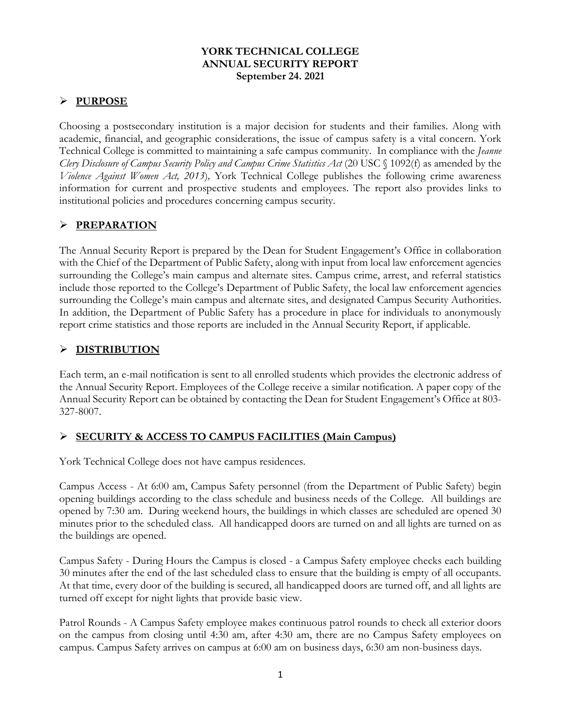### **YORK TECHNICAL COLLEGE ANNUAL SECURITY REPORT September 24. 2021**

### **PURPOSE**

Choosing a postsecondary institution is a major decision for students and their families. Along with academic, financial, and geographic considerations, the issue of campus safety is a vital concern. York Technical College is committed to maintaining a safe campus community. In compliance with the *Jeanne Clery Disclosure of Campus Security Policy and Campus Crime Statistics Act* (20 USC § 1092(f) as amended by the *Violence Against Women Act, 2013*)*,* York Technical College publishes the following crime awareness information for current and prospective students and employees. The report also provides links to institutional policies and procedures concerning campus security.

## **PREPARATION**

The Annual Security Report is prepared by the Dean for Student Engagement's Office in collaboration with the Chief of the Department of Public Safety, along with input from local law enforcement agencies surrounding the College's main campus and alternate sites. Campus crime, arrest, and referral statistics include those reported to the College's Department of Public Safety, the local law enforcement agencies surrounding the College's main campus and alternate sites, and designated Campus Security Authorities. In addition, the Department of Public Safety has a procedure in place for individuals to anonymously report crime statistics and those reports are included in the Annual Security Report, if applicable.

## **DISTRIBUTION**

Each term, an e-mail notification is sent to all enrolled students which provides the electronic address of the Annual Security Report. Employees of the College receive a similar notification. A paper copy of the Annual Security Report can be obtained by contacting the Dean for Student Engagement's Office at 803- 327-8007.

## **SECURITY & ACCESS TO CAMPUS FACILITIES (Main Campus)**

York Technical College does not have campus residences.

Campus Access - At 6:00 am, Campus Safety personnel (from the Department of Public Safety) begin opening buildings according to the class schedule and business needs of the College. All buildings are opened by 7:30 am. During weekend hours, the buildings in which classes are scheduled are opened 30 minutes prior to the scheduled class. All handicapped doors are turned on and all lights are turned on as the buildings are opened.

Campus Safety - During Hours the Campus is closed - a Campus Safety employee checks each building 30 minutes after the end of the last scheduled class to ensure that the building is empty of all occupants. At that time, every door of the building is secured, all handicapped doors are turned off, and all lights are turned off except for night lights that provide basic view.

Patrol Rounds - A Campus Safety employee makes continuous patrol rounds to check all exterior doors on the campus from closing until 4:30 am, after 4:30 am, there are no Campus Safety employees on campus. Campus Safety arrives on campus at 6:00 am on business days, 6:30 am non-business days.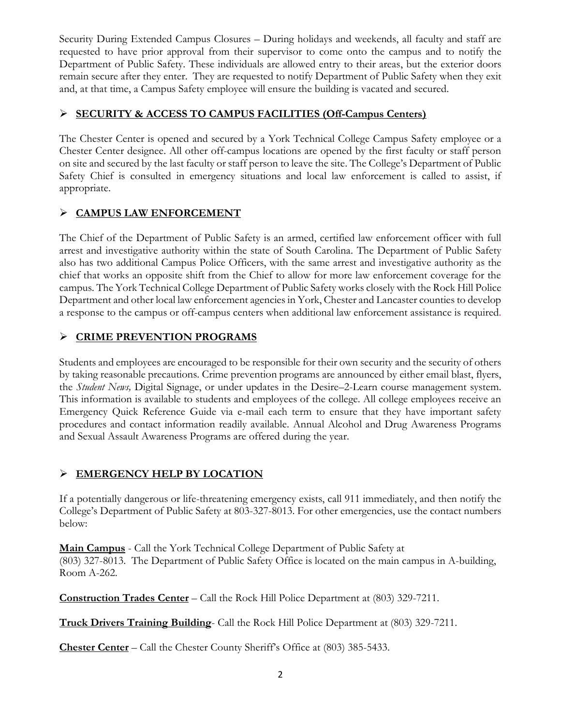Security During Extended Campus Closures – During holidays and weekends, all faculty and staff are requested to have prior approval from their supervisor to come onto the campus and to notify the Department of Public Safety. These individuals are allowed entry to their areas, but the exterior doors remain secure after they enter. They are requested to notify Department of Public Safety when they exit and, at that time, a Campus Safety employee will ensure the building is vacated and secured.

## **SECURITY & ACCESS TO CAMPUS FACILITIES (Off-Campus Centers)**

The Chester Center is opened and secured by a York Technical College Campus Safety employee or a Chester Center designee. All other off-campus locations are opened by the first faculty or staff person on site and secured by the last faculty or staff person to leave the site. The College's Department of Public Safety Chief is consulted in emergency situations and local law enforcement is called to assist, if appropriate.

## **CAMPUS LAW ENFORCEMENT**

The Chief of the Department of Public Safety is an armed, certified law enforcement officer with full arrest and investigative authority within the state of South Carolina. The Department of Public Safety also has two additional Campus Police Officers, with the same arrest and investigative authority as the chief that works an opposite shift from the Chief to allow for more law enforcement coverage for the campus. The York Technical College Department of Public Safety works closely with the Rock Hill Police Department and other local law enforcement agencies in York, Chester and Lancaster counties to develop a response to the campus or off-campus centers when additional law enforcement assistance is required*.*

## **CRIME PREVENTION PROGRAMS**

Students and employees are encouraged to be responsible for their own security and the security of others by taking reasonable precautions. Crime prevention programs are announced by either email blast, flyers, the *Student News,* Digital Signage, or under updates in the Desire–2-Learn course management system. This information is available to students and employees of the college. All college employees receive an Emergency Quick Reference Guide via e-mail each term to ensure that they have important safety procedures and contact information readily available. Annual Alcohol and Drug Awareness Programs and Sexual Assault Awareness Programs are offered during the year.

# **EMERGENCY HELP BY LOCATION**

If a potentially dangerous or life-threatening emergency exists, call 911 immediately, and then notify the College's Department of Public Safety at 803-327-8013. For other emergencies, use the contact numbers below:

**Main Campus** - Call the York Technical College Department of Public Safety at (803) 327-8013. The Department of Public Safety Office is located on the main campus in A-building, Room A-262.

**Construction Trades Center** – Call the Rock Hill Police Department at (803) 329-7211.

**Truck Drivers Training Building**- Call the Rock Hill Police Department at (803) 329-7211.

**Chester Center** – Call the Chester County Sheriff's Office at (803) 385-5433.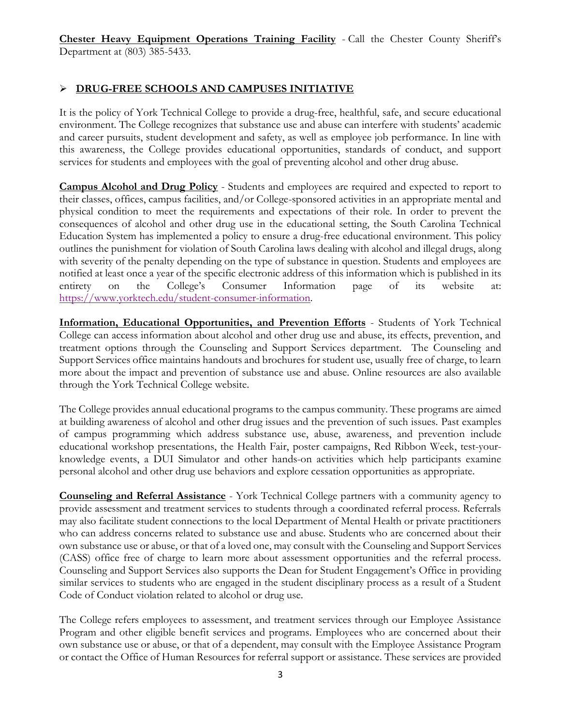**Chester Heavy Equipment Operations Training Facility** - Call the Chester County Sheriff's Department at (803) 385-5433.

## **DRUG-FREE SCHOOLS AND CAMPUSES INITIATIVE**

It is the policy of York Technical College to provide a drug-free, healthful, safe, and secure educational environment. The College recognizes that substance use and abuse can interfere with students' academic and career pursuits, student development and safety, as well as employee job performance. In line with this awareness, the College provides educational opportunities, standards of conduct, and support services for students and employees with the goal of preventing alcohol and other drug abuse.

**Campus Alcohol and Drug Policy** - Students and employees are required and expected to report to their classes, offices, campus facilities, and/or College-sponsored activities in an appropriate mental and physical condition to meet the requirements and expectations of their role. In order to prevent the consequences of alcohol and other drug use in the educational setting, the South Carolina Technical Education System has implemented a policy to ensure a drug-free educational environment. This policy outlines the punishment for violation of South Carolina laws dealing with alcohol and illegal drugs, along with severity of the penalty depending on the type of substance in question. Students and employees are notified at least once a year of the specific electronic address of this information which is published in its entirety on the College's Consumer Information page of its website at: [https://www.yorktech.edu/student-consumer-information.](https://www.yorktech.edu/student-consumer-information)

**Information, Educational Opportunities, and Prevention Efforts** - Students of York Technical College can access information about alcohol and other drug use and abuse, its effects, prevention, and treatment options through the Counseling and Support Services department. The Counseling and Support Services office maintains handouts and brochures for student use, usually free of charge, to learn more about the impact and prevention of substance use and abuse. Online resources are also available through the York Technical College website.

The College provides annual educational programs to the campus community. These programs are aimed at building awareness of alcohol and other drug issues and the prevention of such issues. Past examples of campus programming which address substance use, abuse, awareness, and prevention include educational workshop presentations, the Health Fair, poster campaigns, Red Ribbon Week, test-yourknowledge events, a DUI Simulator and other hands-on activities which help participants examine personal alcohol and other drug use behaviors and explore cessation opportunities as appropriate.

**Counseling and Referral Assistance** - York Technical College partners with a community agency to provide assessment and treatment services to students through a coordinated referral process. Referrals may also facilitate student connections to the local Department of Mental Health or private practitioners who can address concerns related to substance use and abuse. Students who are concerned about their own substance use or abuse, or that of a loved one, may consult with the Counseling and Support Services (CASS) office free of charge to learn more about assessment opportunities and the referral process. Counseling and Support Services also supports the Dean for Student Engagement's Office in providing similar services to students who are engaged in the student disciplinary process as a result of a Student Code of Conduct violation related to alcohol or drug use.

The College refers employees to assessment, and treatment services through our Employee Assistance Program and other eligible benefit services and programs. Employees who are concerned about their own substance use or abuse, or that of a dependent, may consult with the Employee Assistance Program or contact the Office of Human Resources for referral support or assistance. These services are provided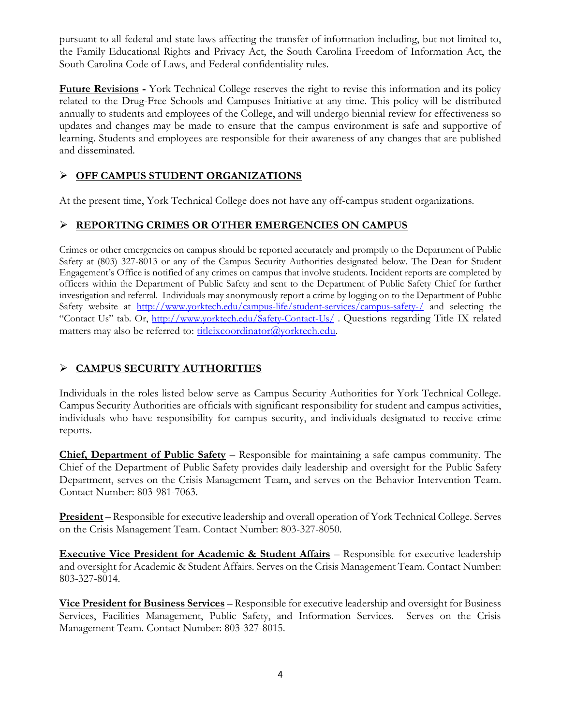pursuant to all federal and state laws affecting the transfer of information including, but not limited to, the Family Educational Rights and Privacy Act, the South Carolina Freedom of Information Act, the South Carolina Code of Laws, and Federal confidentiality rules.

**Future Revisions -** York Technical College reserves the right to revise this information and its policy related to the Drug-Free Schools and Campuses Initiative at any time. This policy will be distributed annually to students and employees of the College, and will undergo biennial review for effectiveness so updates and changes may be made to ensure that the campus environment is safe and supportive of learning. Students and employees are responsible for their awareness of any changes that are published and disseminated.

# **OFF CAMPUS STUDENT ORGANIZATIONS**

At the present time, York Technical College does not have any off-campus student organizations.

## **REPORTING CRIMES OR OTHER EMERGENCIES ON CAMPUS**

Crimes or other emergencies on campus should be reported accurately and promptly to the Department of Public Safety at (803) 327-8013 or any of the Campus Security Authorities designated below. The Dean for Student Engagement's Office is notified of any crimes on campus that involve students. Incident reports are completed by officers within the Department of Public Safety and sent to the Department of Public Safety Chief for further investigation and referral. Individuals may anonymously report a crime by logging on to the Department of Public Safety website at <http://www.yorktech.edu/campus-life/student-services/campus-safety-/> and selecting the "Contact Us" tab. Or, <http://www.yorktech.edu/Safety-Contact-Us/>. Questions regarding Title IX related matters may also be referred to: [titleixcoordinator@yorktech.edu.](mailto:titleixcoordinator@yorktech.edu)

# **CAMPUS SECURITY AUTHORITIES**

Individuals in the roles listed below serve as Campus Security Authorities for York Technical College. Campus Security Authorities are officials with significant responsibility for student and campus activities, individuals who have responsibility for campus security, and individuals designated to receive crime reports.

**Chief, Department of Public Safety** – Responsible for maintaining a safe campus community. The Chief of the Department of Public Safety provides daily leadership and oversight for the Public Safety Department, serves on the Crisis Management Team, and serves on the Behavior Intervention Team. Contact Number: 803-981-7063.

**President** – Responsible for executive leadership and overall operation of York Technical College. Serves on the Crisis Management Team. Contact Number: 803-327-8050.

**Executive Vice President for Academic & Student Affairs** – Responsible for executive leadership and oversight for Academic & Student Affairs. Serves on the Crisis Management Team. Contact Number: 803-327-8014.

**Vice President for Business Services** – Responsible for executive leadership and oversight for Business Services, Facilities Management, Public Safety, and Information Services. Serves on the Crisis Management Team. Contact Number: 803-327-8015.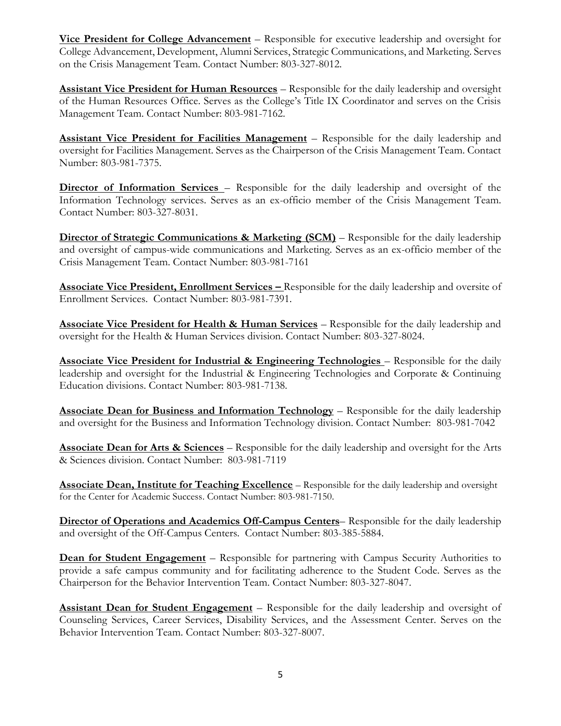**Vice President for College Advancement** – Responsible for executive leadership and oversight for College Advancement, Development, Alumni Services, Strategic Communications, and Marketing. Serves on the Crisis Management Team. Contact Number: 803-327-8012.

**Assistant Vice President for Human Resources** – Responsible for the daily leadership and oversight of the Human Resources Office. Serves as the College's Title IX Coordinator and serves on the Crisis Management Team. Contact Number: 803-981-7162.

**Assistant Vice President for Facilities Management** – Responsible for the daily leadership and oversight for Facilities Management. Serves as the Chairperson of the Crisis Management Team. Contact Number: 803-981-7375.

**Director of Information Services** – Responsible for the daily leadership and oversight of the Information Technology services. Serves as an ex-officio member of the Crisis Management Team. Contact Number: 803-327-8031.

**Director of Strategic Communications & Marketing (SCM)** – Responsible for the daily leadership and oversight of campus-wide communications and Marketing. Serves as an ex-officio member of the Crisis Management Team. Contact Number: 803-981-7161

**Associate Vice President, Enrollment Services – Responsible for the daily leadership and oversite of** Enrollment Services. Contact Number: 803-981-7391.

**Associate Vice President for Health & Human Services** – Responsible for the daily leadership and oversight for the Health & Human Services division. Contact Number: 803-327-8024.

**Associate Vice President for Industrial & Engineering Technologies** – Responsible for the daily leadership and oversight for the Industrial & Engineering Technologies and Corporate & Continuing Education divisions. Contact Number: 803-981-7138.

**Associate Dean for Business and Information Technology** – Responsible for the daily leadership and oversight for the Business and Information Technology division. Contact Number: 803-981-7042

**Associate Dean for Arts & Sciences** – Responsible for the daily leadership and oversight for the Arts & Sciences division. Contact Number: 803-981-7119

**Associate Dean, Institute for Teaching Excellence** – Responsible for the daily leadership and oversight for the Center for Academic Success. Contact Number: 803-981-7150.

**Director of Operations and Academics Off-Campus Centers**– Responsible for the daily leadership and oversight of the Off-Campus Centers. Contact Number: 803-385-5884.

**Dean for Student Engagement** – Responsible for partnering with Campus Security Authorities to provide a safe campus community and for facilitating adherence to the Student Code. Serves as the Chairperson for the Behavior Intervention Team. Contact Number: 803-327-8047.

**Assistant Dean for Student Engagement** – Responsible for the daily leadership and oversight of Counseling Services, Career Services, Disability Services, and the Assessment Center. Serves on the Behavior Intervention Team. Contact Number: 803-327-8007.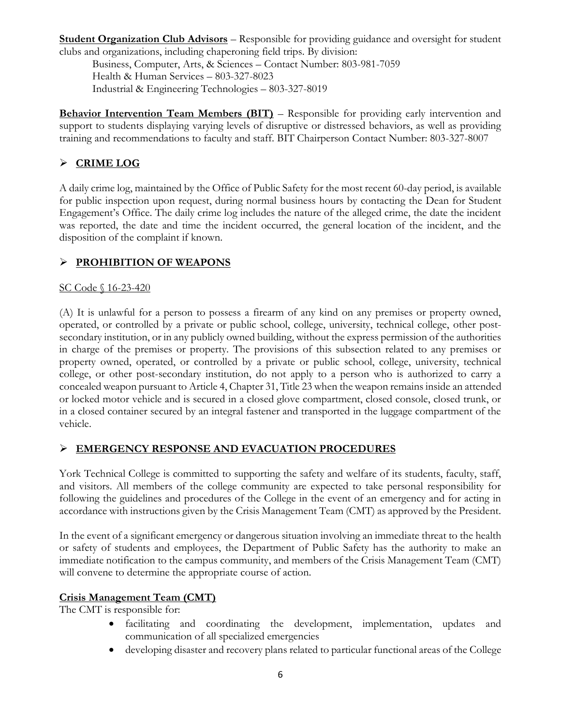**Student Organization Club Advisors** – Responsible for providing guidance and oversight for student clubs and organizations, including chaperoning field trips. By division:

Business, Computer, Arts, & Sciences – Contact Number: 803-981-7059 Health & Human Services – 803-327-8023 Industrial & Engineering Technologies – 803-327-8019

**Behavior Intervention Team Members (BIT)** – Responsible for providing early intervention and support to students displaying varying levels of disruptive or distressed behaviors, as well as providing training and recommendations to faculty and staff. BIT Chairperson Contact Number: 803-327-8007

# **CRIME LOG**

A daily crime log, maintained by the Office of Public Safety for the most recent 60-day period, is available for public inspection upon request, during normal business hours by contacting the Dean for Student Engagement's Office. The daily crime log includes the nature of the alleged crime, the date the incident was reported, the date and time the incident occurred, the general location of the incident, and the disposition of the complaint if known.

# **PROHIBITION OF WEAPONS**

## SC Code § 16-23-420

(A) It is unlawful for a person to possess a firearm of any kind on any premises or property owned, operated, or controlled by a private or public school, college, university, technical college, other postsecondary institution, or in any publicly owned building, without the express permission of the authorities in charge of the premises or property. The provisions of this subsection related to any premises or property owned, operated, or controlled by a private or public school, college, university, technical college, or other post-secondary institution, do not apply to a person who is authorized to carry a concealed weapon pursuant to Article 4, Chapter 31, Title 23 when the weapon remains inside an attended or locked motor vehicle and is secured in a closed glove compartment, closed console, closed trunk, or in a closed container secured by an integral fastener and transported in the luggage compartment of the vehicle.

# **EMERGENCY RESPONSE AND EVACUATION PROCEDURES**

York Technical College is committed to supporting the safety and welfare of its students, faculty, staff, and visitors. All members of the college community are expected to take personal responsibility for following the guidelines and procedures of the College in the event of an emergency and for acting in accordance with instructions given by the Crisis Management Team (CMT) as approved by the President.

In the event of a significant emergency or dangerous situation involving an immediate threat to the health or safety of students and employees, the Department of Public Safety has the authority to make an immediate notification to the campus community, and members of the Crisis Management Team (CMT) will convene to determine the appropriate course of action.

## **Crisis Management Team (CMT)**

The CMT is responsible for:

- facilitating and coordinating the development, implementation, updates and communication of all specialized emergencies
- developing disaster and recovery plans related to particular functional areas of the College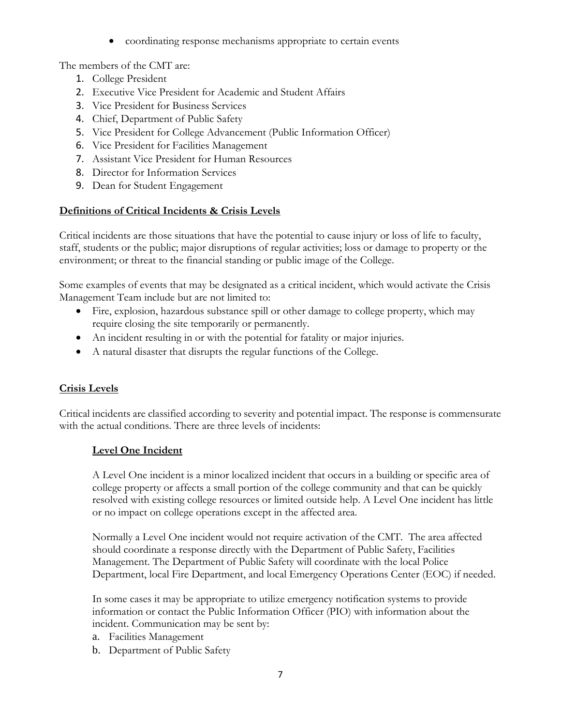coordinating response mechanisms appropriate to certain events

The members of the CMT are:

- 1. College President
- 2. Executive Vice President for Academic and Student Affairs
- 3. Vice President for Business Services
- 4. Chief, Department of Public Safety
- 5. Vice President for College Advancement (Public Information Officer)
- 6. Vice President for Facilities Management
- 7. Assistant Vice President for Human Resources
- 8. Director for Information Services
- 9. Dean for Student Engagement

## **Definitions of Critical Incidents & Crisis Levels**

Critical incidents are those situations that have the potential to cause injury or loss of life to faculty, staff, students or the public; major disruptions of regular activities; loss or damage to property or the environment; or threat to the financial standing or public image of the College.

Some examples of events that may be designated as a critical incident, which would activate the Crisis Management Team include but are not limited to:

- Fire, explosion, hazardous substance spill or other damage to college property, which may require closing the site temporarily or permanently.
- An incident resulting in or with the potential for fatality or major injuries.
- A natural disaster that disrupts the regular functions of the College.

# **Crisis Levels**

Critical incidents are classified according to severity and potential impact. The response is commensurate with the actual conditions. There are three levels of incidents:

## **Level One Incident**

A Level One incident is a minor localized incident that occurs in a building or specific area of college property or affects a small portion of the college community and that can be quickly resolved with existing college resources or limited outside help. A Level One incident has little or no impact on college operations except in the affected area.

Normally a Level One incident would not require activation of the CMT. The area affected should coordinate a response directly with the Department of Public Safety, Facilities Management. The Department of Public Safety will coordinate with the local Police Department, local Fire Department, and local Emergency Operations Center (EOC) if needed.

In some cases it may be appropriate to utilize emergency notification systems to provide information or contact the Public Information Officer (PIO) with information about the incident. Communication may be sent by:

- a. Facilities Management
- b. Department of Public Safety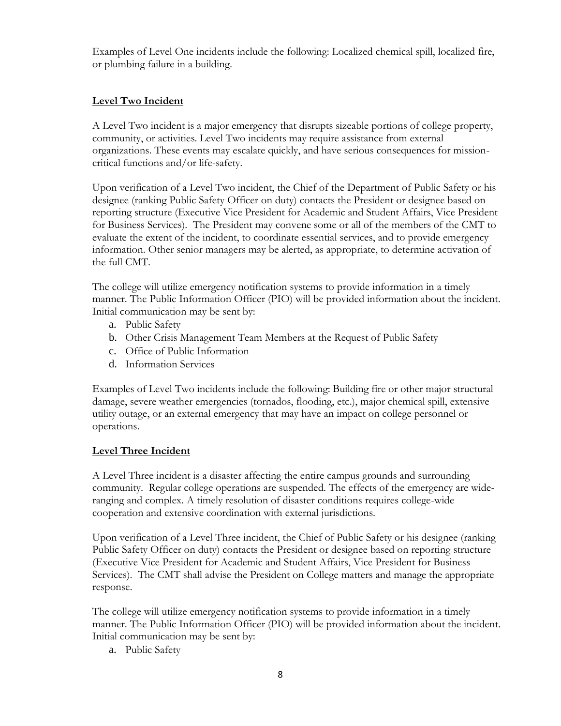Examples of Level One incidents include the following: Localized chemical spill, localized fire, or plumbing failure in a building.

### **Level Two Incident**

A Level Two incident is a major emergency that disrupts sizeable portions of college property, community, or activities. Level Two incidents may require assistance from external organizations. These events may escalate quickly, and have serious consequences for missioncritical functions and/or life-safety.

Upon verification of a Level Two incident, the Chief of the Department of Public Safety or his designee (ranking Public Safety Officer on duty) contacts the President or designee based on reporting structure (Executive Vice President for Academic and Student Affairs, Vice President for Business Services). The President may convene some or all of the members of the CMT to evaluate the extent of the incident, to coordinate essential services, and to provide emergency information. Other senior managers may be alerted, as appropriate, to determine activation of the full CMT.

The college will utilize emergency notification systems to provide information in a timely manner. The Public Information Officer (PIO) will be provided information about the incident. Initial communication may be sent by:

- a. Public Safety
- b. Other Crisis Management Team Members at the Request of Public Safety
- c. Office of Public Information
- d. Information Services

Examples of Level Two incidents include the following: Building fire or other major structural damage, severe weather emergencies (tornados, flooding, etc.), major chemical spill, extensive utility outage, or an external emergency that may have an impact on college personnel or operations.

### **Level Three Incident**

A Level Three incident is a disaster affecting the entire campus grounds and surrounding community. Regular college operations are suspended. The effects of the emergency are wideranging and complex. A timely resolution of disaster conditions requires college-wide cooperation and extensive coordination with external jurisdictions.

Upon verification of a Level Three incident, the Chief of Public Safety or his designee (ranking Public Safety Officer on duty) contacts the President or designee based on reporting structure (Executive Vice President for Academic and Student Affairs, Vice President for Business Services). The CMT shall advise the President on College matters and manage the appropriate response.

The college will utilize emergency notification systems to provide information in a timely manner. The Public Information Officer (PIO) will be provided information about the incident. Initial communication may be sent by:

a. Public Safety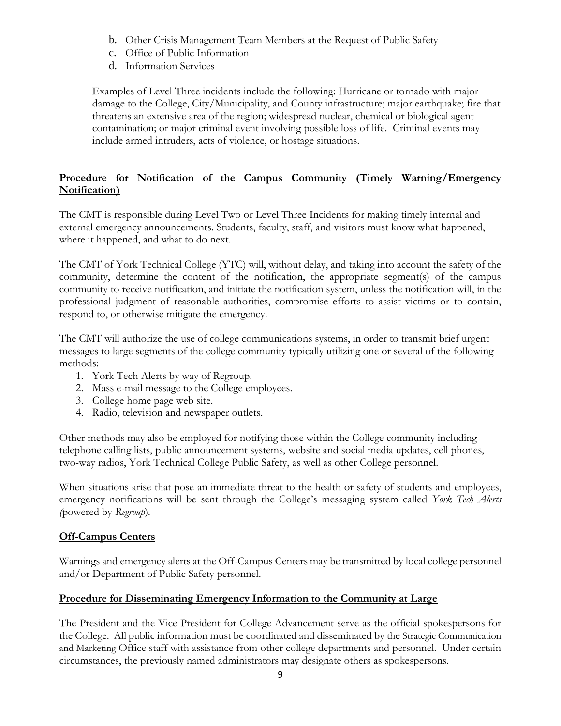- b. Other Crisis Management Team Members at the Request of Public Safety
- c. Office of Public Information
- d. Information Services

Examples of Level Three incidents include the following: Hurricane or tornado with major damage to the College, City/Municipality, and County infrastructure; major earthquake; fire that threatens an extensive area of the region; widespread nuclear, chemical or biological agent contamination; or major criminal event involving possible loss of life. Criminal events may include armed intruders, acts of violence, or hostage situations.

### **Procedure for Notification of the Campus Community (Timely Warning/Emergency Notification)**

The CMT is responsible during Level Two or Level Three Incidents for making timely internal and external emergency announcements. Students, faculty, staff, and visitors must know what happened, where it happened, and what to do next.

The CMT of York Technical College (YTC) will, without delay, and taking into account the safety of the community, determine the content of the notification, the appropriate segment(s) of the campus community to receive notification, and initiate the notification system, unless the notification will, in the professional judgment of reasonable authorities, compromise efforts to assist victims or to contain, respond to, or otherwise mitigate the emergency.

The CMT will authorize the use of college communications systems, in order to transmit brief urgent messages to large segments of the college community typically utilizing one or several of the following methods:

- 1. York Tech Alerts by way of Regroup.
- 2. Mass e-mail message to the College employees.
- 3. College home page web site.
- 4. Radio, television and newspaper outlets.

Other methods may also be employed for notifying those within the College community including telephone calling lists, public announcement systems, website and social media updates, cell phones, two-way radios, York Technical College Public Safety, as well as other College personnel.

When situations arise that pose an immediate threat to the health or safety of students and employees, emergency notifications will be sent through the College's messaging system called *York Tech Alerts (*powered by *Regroup*)*.*

### **Off-Campus Centers**

Warnings and emergency alerts at the Off-Campus Centers may be transmitted by local college personnel and/or Department of Public Safety personnel.

### **Procedure for Disseminating Emergency Information to the Community at Large**

The President and the Vice President for College Advancement serve as the official spokespersons for the College. All public information must be coordinated and disseminated by the Strategic Communication and Marketing Office staff with assistance from other college departments and personnel. Under certain circumstances, the previously named administrators may designate others as spokespersons.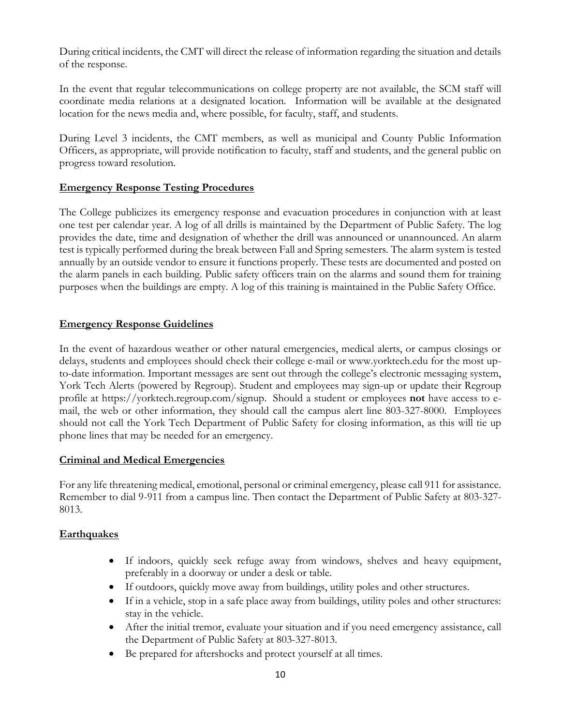During critical incidents, the CMT will direct the release of information regarding the situation and details of the response.

In the event that regular telecommunications on college property are not available, the SCM staff will coordinate media relations at a designated location. Information will be available at the designated location for the news media and, where possible, for faculty, staff, and students.

During Level 3 incidents, the CMT members, as well as municipal and County Public Information Officers, as appropriate, will provide notification to faculty, staff and students, and the general public on progress toward resolution.

### **Emergency Response Testing Procedures**

The College publicizes its emergency response and evacuation procedures in conjunction with at least one test per calendar year. A log of all drills is maintained by the Department of Public Safety. The log provides the date, time and designation of whether the drill was announced or unannounced. An alarm test is typically performed during the break between Fall and Spring semesters. The alarm system is tested annually by an outside vendor to ensure it functions properly. These tests are documented and posted on the alarm panels in each building. Public safety officers train on the alarms and sound them for training purposes when the buildings are empty. A log of this training is maintained in the Public Safety Office.

### **Emergency Response Guidelines**

In the event of hazardous weather or other natural emergencies, medical alerts, or campus closings or delays, students and employees should check their college e-mail or www.yorktech.edu for the most upto-date information. Important messages are sent out through the college's electronic messaging system, York Tech Alerts (powered by Regroup). Student and employees may sign-up or update their Regroup profile at https://yorktech.regroup.com/signup. Should a student or employees **not** have access to email, the web or other information, they should call the campus alert line 803-327-8000.Employees should not call the York Tech Department of Public Safety for closing information, as this will tie up phone lines that may be needed for an emergency.

### **Criminal and Medical Emergencies**

For any life threatening medical, emotional, personal or criminal emergency, please call 911 for assistance. Remember to dial 9-911 from a campus line. Then contact the Department of Public Safety at 803-327- 8013.

### **Earthquakes**

- If indoors, quickly seek refuge away from windows, shelves and heavy equipment, preferably in a doorway or under a desk or table.
- If outdoors, quickly move away from buildings, utility poles and other structures.
- If in a vehicle, stop in a safe place away from buildings, utility poles and other structures: stay in the vehicle.
- After the initial tremor, evaluate your situation and if you need emergency assistance, call the Department of Public Safety at 803-327-8013.
- Be prepared for aftershocks and protect yourself at all times.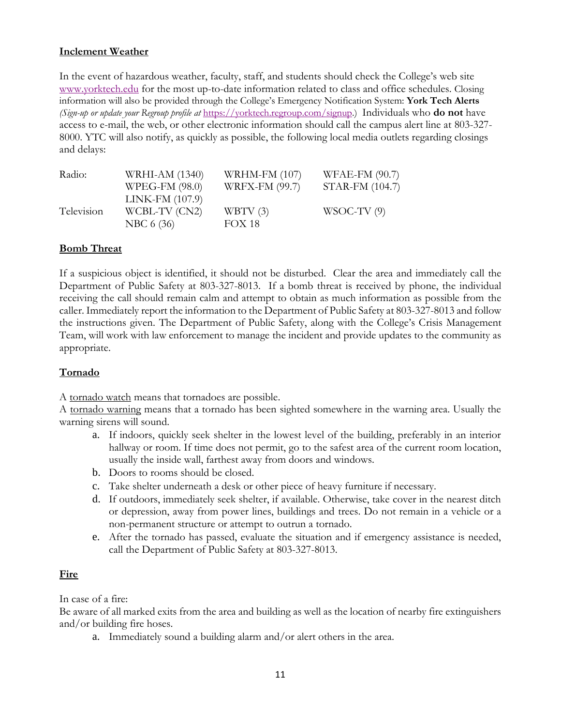### **Inclement Weather**

In the event of hazardous weather, faculty, staff, and students should check the College's web site [www.yorktech.edu](http://www.yorktech.edu/) for the most up-to-date information related to class and office schedules. Closing information will also be provided through the College's Emergency Notification System: **York Tech Alerts** *(Sign-up or update your Regroup profile at* [https://yorktech.regroup.com/signup.](https://yorktech.regroup.com/signup)) Individuals who **do not** have access to e-mail, the web, or other electronic information should call the campus alert line at 803-327- 8000. YTC will also notify, as quickly as possible, the following local media outlets regarding closings and delays:

| Radio:     | WRHI-AM (1340)  | <b>WRHM-FM (107)</b>  | WFAE-FM (90.7)  |
|------------|-----------------|-----------------------|-----------------|
|            | WPEG-FM (98.0)  | <b>WRFX-FM (99.7)</b> | STAR-FM (104.7) |
|            | LINK-FM (107.9) |                       |                 |
| Television | WCBL-TV (CN2)   | WBTV $(3)$            | $WSOC-TV(9)$    |
|            | NBC 6 (36)      | <b>FOX 18</b>         |                 |

### **Bomb Threat**

If a suspicious object is identified, it should not be disturbed. Clear the area and immediately call the Department of Public Safety at 803-327-8013. If a bomb threat is received by phone, the individual receiving the call should remain calm and attempt to obtain as much information as possible from the caller. Immediately report the information to the Department of Public Safety at 803-327-8013 and follow the instructions given. The Department of Public Safety, along with the College's Crisis Management Team, will work with law enforcement to manage the incident and provide updates to the community as appropriate.

### **Tornado**

A tornado watch means that tornadoes are possible.

A tornado warning means that a tornado has been sighted somewhere in the warning area. Usually the warning sirens will sound.

- a. If indoors, quickly seek shelter in the lowest level of the building, preferably in an interior hallway or room. If time does not permit, go to the safest area of the current room location, usually the inside wall, farthest away from doors and windows.
- b. Doors to rooms should be closed.
- c. Take shelter underneath a desk or other piece of heavy furniture if necessary.
- d. If outdoors, immediately seek shelter, if available. Otherwise, take cover in the nearest ditch or depression, away from power lines, buildings and trees. Do not remain in a vehicle or a non-permanent structure or attempt to outrun a tornado.
- e. After the tornado has passed, evaluate the situation and if emergency assistance is needed, call the Department of Public Safety at 803-327-8013.

### **Fire**

In case of a fire:

Be aware of all marked exits from the area and building as well as the location of nearby fire extinguishers and/or building fire hoses.

a. Immediately sound a building alarm and/or alert others in the area.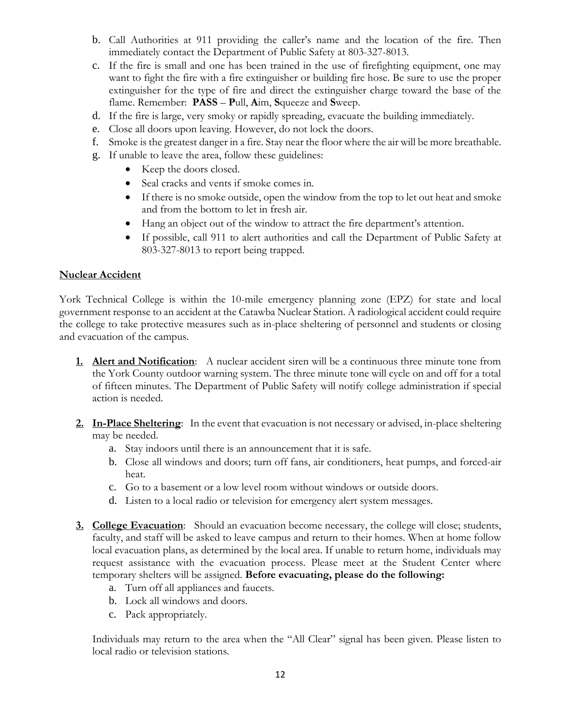- b. Call Authorities at 911 providing the caller's name and the location of the fire. Then immediately contact the Department of Public Safety at 803-327-8013.
- c. If the fire is small and one has been trained in the use of firefighting equipment, one may want to fight the fire with a fire extinguisher or building fire hose. Be sure to use the proper extinguisher for the type of fire and direct the extinguisher charge toward the base of the flame. Remember: **PASS** – **P**ull, **A**im, **S**queeze and **S**weep.
- d. If the fire is large, very smoky or rapidly spreading, evacuate the building immediately.
- e. Close all doors upon leaving. However, do not lock the doors.
- f. Smoke is the greatest danger in a fire. Stay near the floor where the air will be more breathable.
- g. If unable to leave the area, follow these guidelines:
	- Keep the doors closed.
	- Seal cracks and vents if smoke comes in.
	- If there is no smoke outside, open the window from the top to let out heat and smoke and from the bottom to let in fresh air.
	- Hang an object out of the window to attract the fire department's attention.
	- If possible, call 911 to alert authorities and call the Department of Public Safety at 803-327-8013 to report being trapped.

### **Nuclear Accident**

York Technical College is within the 10-mile emergency planning zone (EPZ) for state and local government response to an accident at the Catawba Nuclear Station. A radiological accident could require the college to take protective measures such as in-place sheltering of personnel and students or closing and evacuation of the campus.

- **1. Alert and Notification**:A nuclear accident siren will be a continuous three minute tone from the York County outdoor warning system. The three minute tone will cycle on and off for a total of fifteen minutes. The Department of Public Safety will notify college administration if special action is needed.
- **2. In-Place Sheltering**: In the event that evacuation is not necessary or advised, in-place sheltering may be needed.
	- a. Stay indoors until there is an announcement that it is safe.
	- b. Close all windows and doors; turn off fans, air conditioners, heat pumps, and forced-air heat.
	- c. Go to a basement or a low level room without windows or outside doors.
	- d. Listen to a local radio or television for emergency alert system messages.
- **3. College Evacuation**:Should an evacuation become necessary, the college will close; students, faculty, and staff will be asked to leave campus and return to their homes. When at home follow local evacuation plans, as determined by the local area. If unable to return home, individuals may request assistance with the evacuation process. Please meet at the Student Center where temporary shelters will be assigned. **Before evacuating, please do the following:**
	- a. Turn off all appliances and faucets.
	- b. Lock all windows and doors.
	- c. Pack appropriately.

Individuals may return to the area when the "All Clear" signal has been given. Please listen to local radio or television stations.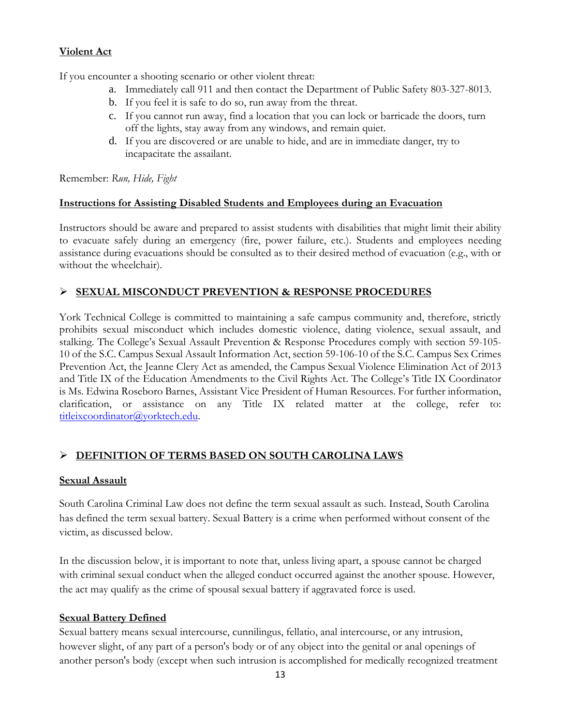## **Violent Act**

If you encounter a shooting scenario or other violent threat:

- a. Immediately call 911 and then contact the Department of Public Safety 803-327-8013.
- b. If you feel it is safe to do so, run away from the threat.
- c. If you cannot run away, find a location that you can lock or barricade the doors, turn off the lights, stay away from any windows, and remain quiet.
- d. If you are discovered or are unable to hide, and are in immediate danger, try to incapacitate the assailant.

Remember: *Run, Hide, Fight* 

### **Instructions for Assisting Disabled Students and Employees during an Evacuation**

Instructors should be aware and prepared to assist students with disabilities that might limit their ability to evacuate safely during an emergency (fire, power failure, etc.). Students and employees needing assistance during evacuations should be consulted as to their desired method of evacuation (e.g., with or without the wheelchair).

## **SEXUAL MISCONDUCT PREVENTION & RESPONSE PROCEDURES**

York Technical College is committed to maintaining a safe campus community and, therefore, strictly prohibits sexual misconduct which includes domestic violence, dating violence, sexual assault, and stalking. The College's Sexual Assault Prevention & Response Procedures comply with section 59-105- 10 of the S.C. Campus Sexual Assault Information Act, section 59-106-10 of the S.C. Campus Sex Crimes Prevention Act, the Jeanne Clery Act as amended, the Campus Sexual Violence Elimination Act of 2013 and Title IX of the Education Amendments to the Civil Rights Act. The College's Title IX Coordinator is Ms. Edwina Roseboro Barnes, Assistant Vice President of Human Resources. For further information, clarification, or assistance on any Title IX related matter at the college, refer to: [titleixcoordinator@yorktech.edu.](mailto:titleixcoordinator@yorktech.edu)

## **DEFINITION OF TERMS BASED ON SOUTH CAROLINA LAWS**

## **Sexual Assault**

South Carolina Criminal Law does not define the term sexual assault as such. Instead, South Carolina has defined the term sexual battery. Sexual Battery is a crime when performed without consent of the victim, as discussed below.

In the discussion below, it is important to note that, unless living apart, a spouse cannot be charged with criminal sexual conduct when the alleged conduct occurred against the another spouse. However, the act may qualify as the crime of spousal sexual battery if aggravated force is used.

## **Sexual Battery Defined**

Sexual battery means sexual intercourse, cunnilingus, fellatio, anal intercourse, or any intrusion, however slight, of any part of a person's body or of any object into the genital or anal openings of another person's body (except when such intrusion is accomplished for medically recognized treatment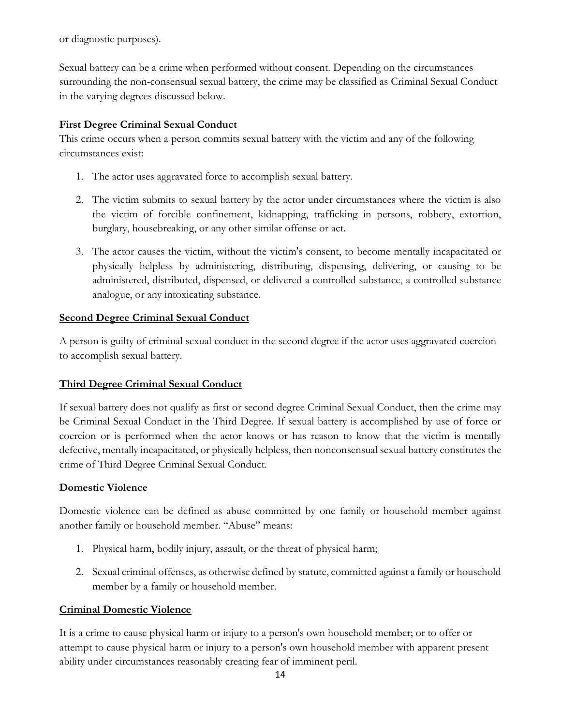or diagnostic purposes).

Sexual battery can be a crime when performed without consent. Depending on the circumstances surrounding the non-consensual sexual battery, the crime may be classified as Criminal Sexual Conduct in the varying degrees discussed below.

## **First Degree Criminal Sexual Conduct**

This crime occurs when a person commits sexual battery with the victim and any of the following circumstances exist:

- 1. The actor uses aggravated force to accomplish sexual battery.
- 2. The victim submits to sexual battery by the actor under circumstances where the victim is also the victim of forcible confinement, kidnapping, trafficking in persons, robbery, extortion, burglary, housebreaking, or any other similar offense or act.
- 3. The actor causes the victim, without the victim's consent, to become mentally incapacitated or physically helpless by administering, distributing, dispensing, delivering, or causing to be administered, distributed, dispensed, or delivered a controlled substance, a controlled substance analogue, or any intoxicating substance.

## **Second Degree Criminal Sexual Conduct**

A person is guilty of criminal sexual conduct in the second degree if the actor uses aggravated coercion to accomplish sexual battery.

## **Third Degree Criminal Sexual Conduct**

If sexual battery does not qualify as first or second degree Criminal Sexual Conduct, then the crime may be Criminal Sexual Conduct in the Third Degree. If sexual battery is accomplished by use of force or coercion or is performed when the actor knows or has reason to know that the victim is mentally defective, mentally incapacitated, or physically helpless, then nonconsensual sexual battery constitutes the crime of Third Degree Criminal Sexual Conduct.

## **Domestic Violence**

Domestic violence can be defined as abuse committed by one family or household member against another family or household member. "Abuse" means:

- 1. Physical harm, bodily injury, assault, or the threat of physical harm;
- 2. Sexual criminal offenses, as otherwise defined by statute, committed against a family or household member by a family or household member.

## **Criminal Domestic Violence**

It is a crime to cause physical harm or injury to a person's own household member; or to offer or attempt to cause physical harm or injury to a person's own household member with apparent present ability under circumstances reasonably creating fear of imminent peril.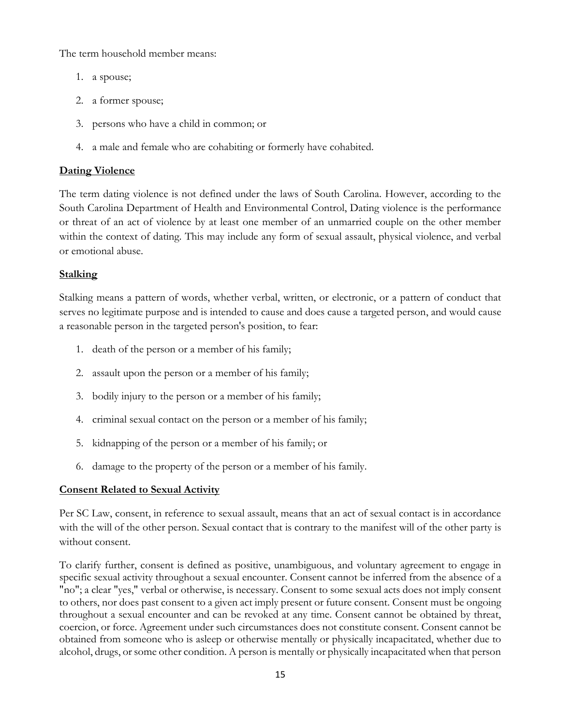The term household member means:

- 1. a spouse;
- 2. a former spouse;
- 3. persons who have a child in common; or
- 4. a male and female who are cohabiting or formerly have cohabited.

## **Dating Violence**

The term dating violence is not defined under the laws of South Carolina. However, according to the South Carolina Department of Health and Environmental Control, Dating violence is the performance or threat of an act of violence by at least one member of an unmarried couple on the other member within the context of dating. This may include any form of sexual assault, physical violence, and verbal or emotional abuse.

# **Stalking**

Stalking means a pattern of words, whether verbal, written, or electronic, or a pattern of conduct that serves no legitimate purpose and is intended to cause and does cause a targeted person, and would cause a reasonable person in the targeted person's position, to fear:

- 1. death of the person or a member of his family;
- 2. assault upon the person or a member of his family;
- 3. bodily injury to the person or a member of his family;
- 4. criminal sexual contact on the person or a member of his family;
- 5. kidnapping of the person or a member of his family; or
- 6. damage to the property of the person or a member of his family.

# **Consent Related to Sexual Activity**

Per SC Law, consent, in reference to sexual assault, means that an act of sexual contact is in accordance with the will of the other person. Sexual contact that is contrary to the manifest will of the other party is without consent.

To clarify further, consent is defined as positive, unambiguous, and voluntary agreement to engage in specific sexual activity throughout a sexual encounter. Consent cannot be inferred from the absence of a "no"; a clear "yes," verbal or otherwise, is necessary. Consent to some sexual acts does not imply consent to others, nor does past consent to a given act imply present or future consent. Consent must be ongoing throughout a sexual encounter and can be revoked at any time. Consent cannot be obtained by threat, coercion, or force. Agreement under such circumstances does not constitute consent. Consent cannot be obtained from someone who is asleep or otherwise mentally or physically incapacitated, whether due to alcohol, drugs, or some other condition. A person is mentally or physically incapacitated when that person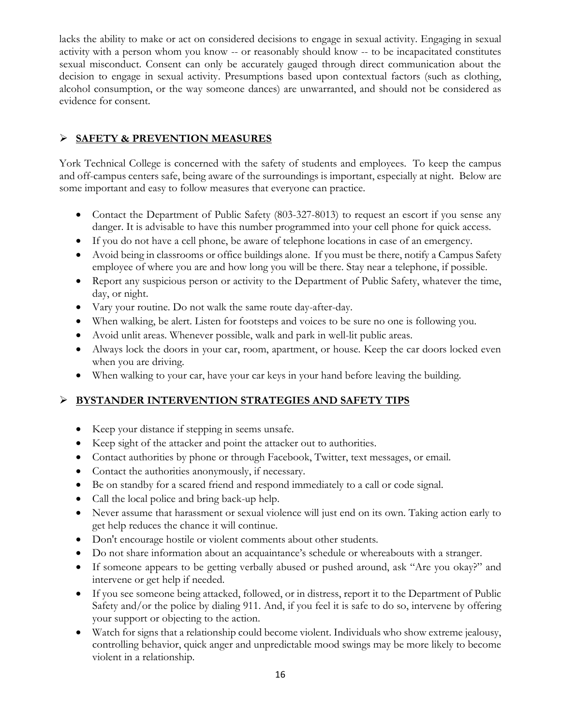lacks the ability to make or act on considered decisions to engage in sexual activity. Engaging in sexual activity with a person whom you know -- or reasonably should know -- to be incapacitated constitutes sexual misconduct. Consent can only be accurately gauged through direct communication about the decision to engage in sexual activity. Presumptions based upon contextual factors (such as clothing, alcohol consumption, or the way someone dances) are unwarranted, and should not be considered as evidence for consent.

# **SAFETY & PREVENTION MEASURES**

York Technical College is concerned with the safety of students and employees. To keep the campus and off-campus centers safe, being aware of the surroundings is important, especially at night. Below are some important and easy to follow measures that everyone can practice.

- Contact the Department of Public Safety (803-327-8013) to request an escort if you sense any danger. It is advisable to have this number programmed into your cell phone for quick access.
- If you do not have a cell phone, be aware of telephone locations in case of an emergency.
- Avoid being in classrooms or office buildings alone. If you must be there, notify a Campus Safety employee of where you are and how long you will be there. Stay near a telephone, if possible.
- Report any suspicious person or activity to the Department of Public Safety, whatever the time, day, or night.
- Vary your routine. Do not walk the same route day-after-day.
- When walking, be alert. Listen for footsteps and voices to be sure no one is following you.
- Avoid unlit areas. Whenever possible, walk and park in well-lit public areas.
- Always lock the doors in your car, room, apartment, or house. Keep the car doors locked even when you are driving.
- When walking to your car, have your car keys in your hand before leaving the building.

# **BYSTANDER INTERVENTION STRATEGIES AND SAFETY TIPS**

- Keep your distance if stepping in seems unsafe.
- Keep sight of the attacker and point the attacker out to authorities.
- Contact authorities by phone or through Facebook, Twitter, text messages, or email.
- Contact the authorities anonymously, if necessary.
- Be on standby for a scared friend and respond immediately to a call or code signal.
- Call the local police and bring back-up help.
- Never assume that harassment or sexual violence will just end on its own. Taking action early to get help reduces the chance it will continue.
- Don't encourage hostile or violent comments about other students.
- Do not share information about an acquaintance's schedule or whereabouts with a stranger.
- If someone appears to be getting verbally abused or pushed around, ask "Are you okay?" and intervene or get help if needed.
- If you see someone being attacked, followed, or in distress, report it to the Department of Public Safety and/or the police by dialing 911. And, if you feel it is safe to do so, intervene by offering your support or objecting to the action.
- Watch for signs that a relationship could become violent. Individuals who show extreme jealousy, controlling behavior, quick anger and unpredictable mood swings may be more likely to become violent in a relationship.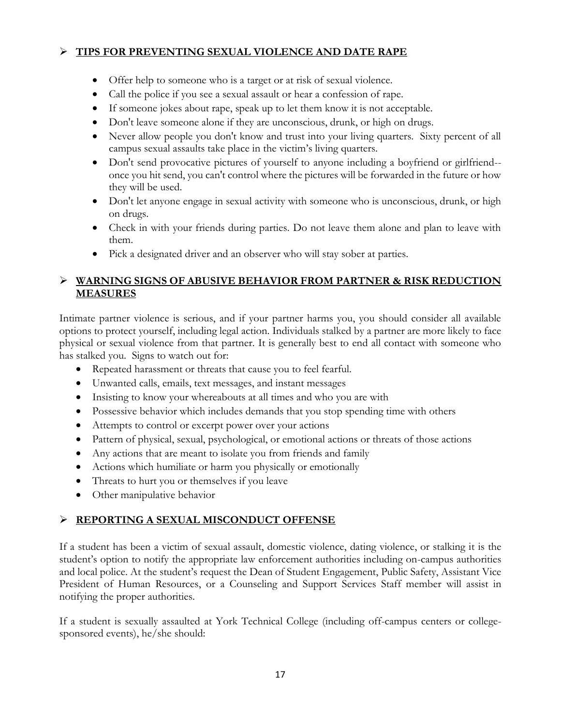## **TIPS FOR PREVENTING SEXUAL VIOLENCE AND DATE RAPE**

- Offer help to someone who is a target or at risk of sexual violence.
- Call the police if you see a sexual assault or hear a confession of rape.
- If someone jokes about rape, speak up to let them know it is not acceptable.
- Don't leave someone alone if they are unconscious, drunk, or high on drugs.
- Never allow people you don't know and trust into your living quarters. Sixty percent of all campus sexual assaults take place in the victim's living quarters.
- Don't send provocative pictures of yourself to anyone including a boyfriend or girlfriend- once you hit send, you can't control where the pictures will be forwarded in the future or how they will be used.
- Don't let anyone engage in sexual activity with someone who is unconscious, drunk, or high on drugs.
- Check in with your friends during parties. Do not leave them alone and plan to leave with them.
- Pick a designated driver and an observer who will stay sober at parties.

## **WARNING SIGNS OF ABUSIVE BEHAVIOR FROM PARTNER & RISK REDUCTION MEASURES**

Intimate partner violence is serious, and if your partner harms you, you should consider all available options to protect yourself, including legal action. Individuals stalked by a partner are more likely to face physical or sexual violence from that partner. It is generally best to end all contact with someone who has stalked you. Signs to watch out for:

- Repeated harassment or threats that cause you to feel fearful.
- Unwanted calls, emails, text messages, and instant messages
- Insisting to know your whereabouts at all times and who you are with
- Possessive behavior which includes demands that you stop spending time with others
- Attempts to control or excerpt power over your actions
- Pattern of physical, sexual, psychological, or emotional actions or threats of those actions
- Any actions that are meant to isolate you from friends and family
- Actions which humiliate or harm you physically or emotionally
- Threats to hurt you or themselves if you leave
- Other manipulative behavior

# **REPORTING A SEXUAL MISCONDUCT OFFENSE**

If a student has been a victim of sexual assault, domestic violence, dating violence, or stalking it is the student's option to notify the appropriate law enforcement authorities including on-campus authorities and local police. At the student's request the Dean of Student Engagement, Public Safety, Assistant Vice President of Human Resources, or a Counseling and Support Services Staff member will assist in notifying the proper authorities.

If a student is sexually assaulted at York Technical College (including off-campus centers or collegesponsored events), he/she should: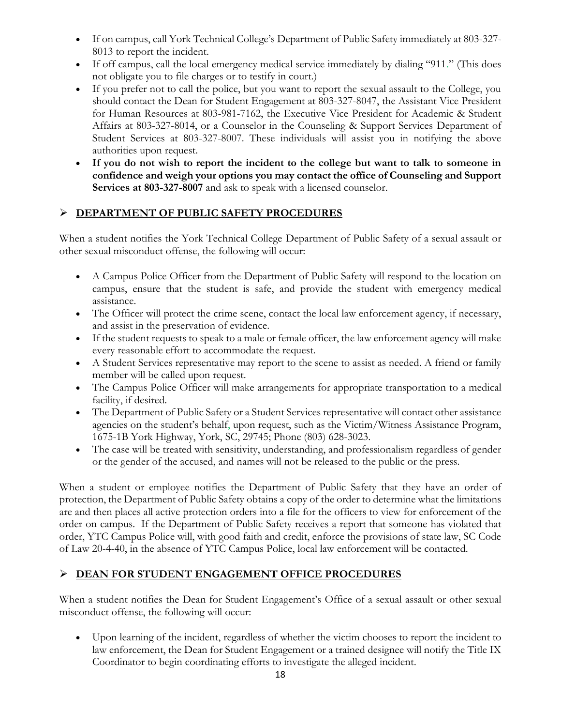- If on campus, call York Technical College's Department of Public Safety immediately at 803-327- 8013 to report the incident.
- If off campus, call the local emergency medical service immediately by dialing "911." (This does not obligate you to file charges or to testify in court.)
- If you prefer not to call the police, but you want to report the sexual assault to the College, you should contact the Dean for Student Engagement at 803-327-8047, the Assistant Vice President for Human Resources at 803-981-7162, the Executive Vice President for Academic & Student Affairs at 803-327-8014, or a Counselor in the Counseling & Support Services Department of Student Services at 803-327-8007. These individuals will assist you in notifying the above authorities upon request.
- **If you do not wish to report the incident to the college but want to talk to someone in confidence and weigh your options you may contact the office of Counseling and Support Services at 803-327-8007** and ask to speak with a licensed counselor.

## **DEPARTMENT OF PUBLIC SAFETY PROCEDURES**

When a student notifies the York Technical College Department of Public Safety of a sexual assault or other sexual misconduct offense, the following will occur:

- A Campus Police Officer from the Department of Public Safety will respond to the location on campus, ensure that the student is safe, and provide the student with emergency medical assistance.
- The Officer will protect the crime scene, contact the local law enforcement agency, if necessary, and assist in the preservation of evidence.
- If the student requests to speak to a male or female officer, the law enforcement agency will make every reasonable effort to accommodate the request.
- A Student Services representative may report to the scene to assist as needed. A friend or family member will be called upon request.
- The Campus Police Officer will make arrangements for appropriate transportation to a medical facility, if desired.
- The Department of Public Safety or a Student Services representative will contact other assistance agencies on the student's behalf, upon request, such as the Victim/Witness Assistance Program, 1675-1B York Highway, York, SC, 29745; Phone (803) 628-3023.
- The case will be treated with sensitivity, understanding, and professionalism regardless of gender or the gender of the accused, and names will not be released to the public or the press.

When a student or employee notifies the Department of Public Safety that they have an order of protection, the Department of Public Safety obtains a copy of the order to determine what the limitations are and then places all active protection orders into a file for the officers to view for enforcement of the order on campus. If the Department of Public Safety receives a report that someone has violated that order, YTC Campus Police will, with good faith and credit, enforce the provisions of state law, SC Code of Law 20-4-40, in the absence of YTC Campus Police, local law enforcement will be contacted.

# **DEAN FOR STUDENT ENGAGEMENT OFFICE PROCEDURES**

When a student notifies the Dean for Student Engagement's Office of a sexual assault or other sexual misconduct offense, the following will occur:

 Upon learning of the incident, regardless of whether the victim chooses to report the incident to law enforcement, the Dean for Student Engagement or a trained designee will notify the Title IX Coordinator to begin coordinating efforts to investigate the alleged incident.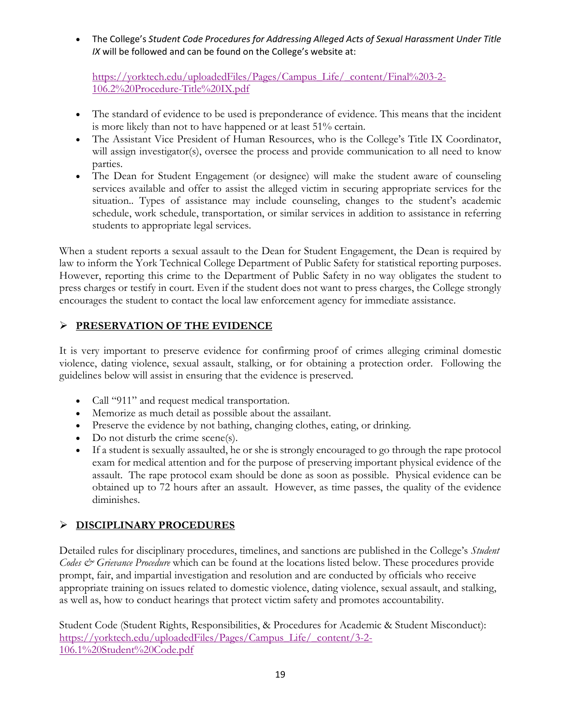The College's *Student Code Procedures for Addressing Alleged Acts of Sexual Harassment Under Title IX* will be followed and can be found on the College's website at:

[https://yorktech.edu/uploadedFiles/Pages/Campus\\_Life/\\_content/Final%203-2-](https://yorktech.edu/uploadedFiles/Pages/Campus_Life/_content/Final%203-2-106.2%20Procedure-Title%20IX.pdf) [106.2%20Procedure-Title%20IX.pdf](https://yorktech.edu/uploadedFiles/Pages/Campus_Life/_content/Final%203-2-106.2%20Procedure-Title%20IX.pdf)

- The standard of evidence to be used is preponderance of evidence. This means that the incident is more likely than not to have happened or at least 51% certain.
- The Assistant Vice President of Human Resources, who is the College's Title IX Coordinator, will assign investigator(s), oversee the process and provide communication to all need to know parties.
- The Dean for Student Engagement (or designee) will make the student aware of counseling services available and offer to assist the alleged victim in securing appropriate services for the situation.. Types of assistance may include counseling, changes to the student's academic schedule, work schedule, transportation, or similar services in addition to assistance in referring students to appropriate legal services.

When a student reports a sexual assault to the Dean for Student Engagement, the Dean is required by law to inform the York Technical College Department of Public Safety for statistical reporting purposes. However, reporting this crime to the Department of Public Safety in no way obligates the student to press charges or testify in court. Even if the student does not want to press charges, the College strongly encourages the student to contact the local law enforcement agency for immediate assistance.

## **PRESERVATION OF THE EVIDENCE**

It is very important to preserve evidence for confirming proof of crimes alleging criminal domestic violence, dating violence, sexual assault, stalking, or for obtaining a protection order. Following the guidelines below will assist in ensuring that the evidence is preserved.

- Call "911" and request medical transportation.
- Memorize as much detail as possible about the assailant.
- Preserve the evidence by not bathing, changing clothes, eating, or drinking.
- Do not disturb the crime scene(s).
- If a student is sexually assaulted, he or she is strongly encouraged to go through the rape protocol exam for medical attention and for the purpose of preserving important physical evidence of the assault. The rape protocol exam should be done as soon as possible. Physical evidence can be obtained up to 72 hours after an assault. However, as time passes, the quality of the evidence diminishes.

# **DISCIPLINARY PROCEDURES**

Detailed rules for disciplinary procedures, timelines, and sanctions are published in the College's *Student Codes & Grievance Procedure* which can be found at the locations listed below. These procedures provide prompt, fair, and impartial investigation and resolution and are conducted by officials who receive appropriate training on issues related to domestic violence, dating violence, sexual assault, and stalking, as well as, how to conduct hearings that protect victim safety and promotes accountability.

Student Code (Student Rights, Responsibilities, & Procedures for Academic & Student Misconduct): [https://yorktech.edu/uploadedFiles/Pages/Campus\\_Life/\\_content/3-2-](https://yorktech.edu/uploadedFiles/Pages/Campus_Life/_content/3-2-106.1%20Student%20Code.pdf) [106.1%20Student%20Code.pdf](https://yorktech.edu/uploadedFiles/Pages/Campus_Life/_content/3-2-106.1%20Student%20Code.pdf)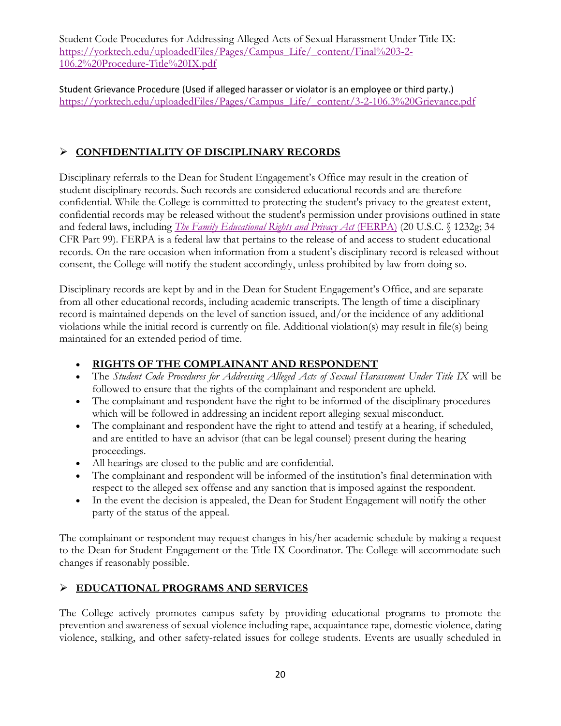Student Code Procedures for Addressing Alleged Acts of Sexual Harassment Under Title IX: [https://yorktech.edu/uploadedFiles/Pages/Campus\\_Life/\\_content/Final%203-2-](https://yorktech.edu/uploadedFiles/Pages/Campus_Life/_content/Final%203-2-106.2%20Procedure-Title%20IX.pdf) [106.2%20Procedure-Title%20IX.pdf](https://yorktech.edu/uploadedFiles/Pages/Campus_Life/_content/Final%203-2-106.2%20Procedure-Title%20IX.pdf)

Student Grievance Procedure (Used if alleged harasser or violator is an employee or third party.) [https://yorktech.edu/uploadedFiles/Pages/Campus\\_Life/\\_content/3-2-106.3%20Grievance.pdf](https://yorktech.edu/uploadedFiles/Pages/Campus_Life/_content/3-2-106.3%20Grievance.pdf)

# **CONFIDENTIALITY OF DISCIPLINARY RECORDS**

Disciplinary referrals to the Dean for Student Engagement's Office may result in the creation of student disciplinary records. Such records are considered educational records and are therefore confidential. While the College is committed to protecting the student's privacy to the greatest extent, confidential records may be released without the student's permission under provisions outlined in state and federal laws, including *[The Family Educational Rights and Privacy Act](http://www.ed.gov/policy/gen/guid/fpco/ferpa/index.html)* (FERPA) (20 U.S.C. § 1232g; 34 CFR Part 99). FERPA is a federal law that pertains to the release of and access to student educational records. On the rare occasion when information from a student's disciplinary record is released without consent, the College will notify the student accordingly, unless prohibited by law from doing so.

Disciplinary records are kept by and in the Dean for Student Engagement's Office, and are separate from all other educational records, including academic transcripts. The length of time a disciplinary record is maintained depends on the level of sanction issued, and/or the incidence of any additional violations while the initial record is currently on file. Additional violation(s) may result in file(s) being maintained for an extended period of time.

# **RIGHTS OF THE COMPLAINANT AND RESPONDENT**

- The *Student Code Procedures for Addressing Alleged Acts of Sexual Harassment Under Title IX* will be followed to ensure that the rights of the complainant and respondent are upheld.
- The complainant and respondent have the right to be informed of the disciplinary procedures which will be followed in addressing an incident report alleging sexual misconduct.
- The complainant and respondent have the right to attend and testify at a hearing, if scheduled, and are entitled to have an advisor (that can be legal counsel) present during the hearing proceedings.
- All hearings are closed to the public and are confidential.
- The complainant and respondent will be informed of the institution's final determination with respect to the alleged sex offense and any sanction that is imposed against the respondent.
- In the event the decision is appealed, the Dean for Student Engagement will notify the other party of the status of the appeal.

The complainant or respondent may request changes in his/her academic schedule by making a request to the Dean for Student Engagement or the Title IX Coordinator. The College will accommodate such changes if reasonably possible.

# **EDUCATIONAL PROGRAMS AND SERVICES**

The College actively promotes campus safety by providing educational programs to promote the prevention and awareness of sexual violence including rape, acquaintance rape, domestic violence, dating violence, stalking, and other safety-related issues for college students. Events are usually scheduled in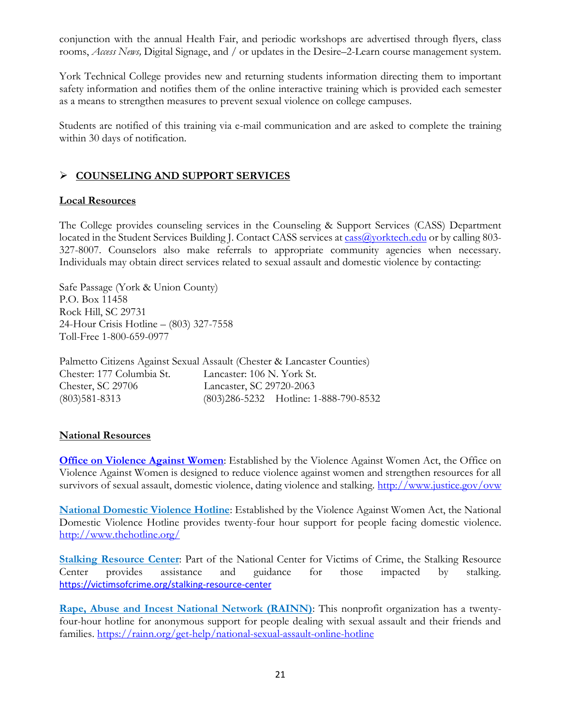conjunction with the annual Health Fair, and periodic workshops are advertised through flyers, class rooms, *Access News,* Digital Signage, and / or updates in the Desire–2-Learn course management system.

York Technical College provides new and returning students information directing them to important safety information and notifies them of the online interactive training which is provided each semester as a means to strengthen measures to prevent sexual violence on college campuses.

Students are notified of this training via e-mail communication and are asked to complete the training within 30 days of notification.

## **COUNSELING AND SUPPORT SERVICES**

### **Local Resources**

The College provides counseling services in the Counseling & Support Services (CASS) Department located in the Student Services Building J. Contact CASS services at cass a vortech.edu or by calling 803-327-8007. Counselors also make referrals to appropriate community agencies when necessary. Individuals may obtain direct services related to sexual assault and domestic violence by contacting:

Safe Passage (York & Union County) P.O. Box 11458 Rock Hill, SC 29731 24-Hour Crisis Hotline – (803) 327-7558 Toll-Free 1-800-659-0977

Palmetto Citizens Against Sexual Assault (Chester & Lancaster Counties) Chester: 177 Columbia St. Lancaster: 106 N. York St. Chester, SC 29706 Lancaster, SC 29720-2063 (803)581-8313 (803)286-5232 Hotline: 1-888-790-8532

### **National Resources**

**[Office on Violence Against Women](https://www.justice.gov/ovw)**: Established by the Violence Against Women Act, the Office on Violence Against Women is designed to reduce violence against women and strengthen resources for all survivors of sexual assault, domestic violence, dating violence and stalking. <http://www.justice.gov/ovw>

**[National Domestic Violence Hotline](http://www.thehotline.org/)**: Established by the Violence Against Women Act, the National Domestic Violence Hotline provides twenty-four hour support for people facing domestic violence. <http://www.thehotline.org/>

**[Stalking Resource Center](http://www.victimsofcrime.org/our-programs/stalking-resource-center):** Part of the National Center for Victims of Crime, the Stalking Resource Center provides assistance and guidance for those impacted by stalking. <https://victimsofcrime.org/stalking-resource-center>

**[Rape, Abuse and Incest National Network \(RAINN\)](http://www.rainn.org/get-help/national-sexual-assault-online-hotline)**: This nonprofit organization has a twentyfour-hour hotline for anonymous support for people dealing with sexual assault and their friends and families. <https://rainn.org/get-help/national-sexual-assault-online-hotline>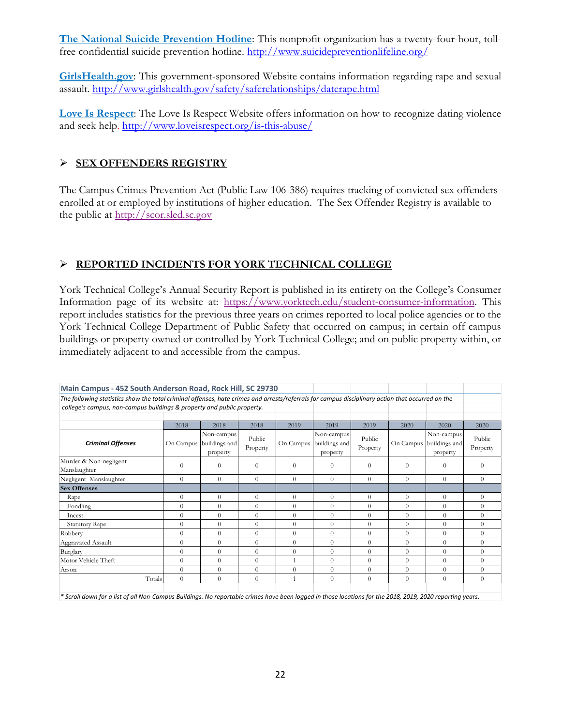**[The National Suicide Prevention Hotline](http://www.suicidepreventionlifeline.org/)**: This nonprofit organization has a twenty-four-hour, tollfree confidential suicide prevention hotline. <http://www.suicidepreventionlifeline.org/>

**[GirlsHealth.gov](http://www.girlshealth.gov/safety/saferelationships/daterape.html)**: This government-sponsored Website contains information regarding rape and sexual assault. <http://www.girlshealth.gov/safety/saferelationships/daterape.html>

**[Love Is Respect](http://www.loveisrespect.org/is-this-abuse/)**: The Love Is Respect Website offers information on how to recognize dating violence and seek help. <http://www.loveisrespect.org/is-this-abuse/>

## **SEX OFFENDERS REGISTRY**

The Campus Crimes Prevention Act (Public Law 106-386) requires tracking of convicted sex offenders enrolled at or employed by institutions of higher education. The Sex Offender Registry is available to the public at [http://scor.sled.sc.gov](http://scor.sled.sc.gov/)

# **REPORTED INCIDENTS FOR YORK TECHNICAL COLLEGE**

York Technical College's Annual Security Report is published in its entirety on the College's Consumer Information page of its website at: [https://www.yorktech.edu/student-consumer-information.](https://www.yorktech.edu/student-consumer-information) This report includes statistics for the previous three years on crimes reported to local police agencies or to the York Technical College Department of Public Safety that occurred on campus; in certain off campus buildings or property owned or controlled by York Technical College; and on public property within, or immediately adjacent to and accessible from the campus.

| Main Campus - 452 South Anderson Road, Rock Hill, SC 29730                                                                                       |                |                                         |                    |                |                                         |                    |           |                                         |                    |
|--------------------------------------------------------------------------------------------------------------------------------------------------|----------------|-----------------------------------------|--------------------|----------------|-----------------------------------------|--------------------|-----------|-----------------------------------------|--------------------|
| The following statistics show the total criminal offenses, hate crimes and arrests/referrals for campus disciplinary action that occurred on the |                |                                         |                    |                |                                         |                    |           |                                         |                    |
| college's campus, non-campus buildings & property and public property.                                                                           |                |                                         |                    |                |                                         |                    |           |                                         |                    |
|                                                                                                                                                  |                |                                         |                    |                |                                         |                    |           |                                         |                    |
|                                                                                                                                                  | 2018           | 2018                                    | 2018               | 2019           | 2019                                    | 2019               | 2020      | 2020                                    | 2020               |
| <b>Criminal Offenses</b>                                                                                                                         | On Campus      | Non-campus<br>buildings and<br>property | Public<br>Property | On Campus      | Non-campus<br>buildings and<br>property | Public<br>Property | On Campus | Non-campus<br>buildings and<br>property | Public<br>Property |
| Murder & Non-negligent<br>Manslaughter                                                                                                           | $\theta$       | $\Omega$                                | $\Omega$           | $\Omega$       | $\Omega$                                | $\Omega$           | $\Omega$  | $\Omega$                                | $\Omega$           |
| Negligent Manslaughter                                                                                                                           | $\Omega$       | $\theta$                                | $\Omega$           | $\Omega$       | $\theta$                                | $\Omega$           | $\Omega$  | $\theta$                                | $\theta$           |
| <b>Sex Offenses</b>                                                                                                                              |                |                                         |                    |                |                                         |                    |           |                                         |                    |
| Rape                                                                                                                                             | $\overline{0}$ | $\theta$                                | $\Omega$           | $\theta$       | $\theta$                                | $\Omega$           | $\theta$  | $\theta$                                | $\theta$           |
| Fondling                                                                                                                                         | $\Omega$       | $\theta$                                | $\Omega$           | $\Omega$       | $\theta$                                | $\Omega$           | $\Omega$  | $\Omega$                                | $\Omega$           |
| Incest                                                                                                                                           | $\Omega$       | $\theta$                                | $\Omega$           | $\Omega$       | $\Omega$                                | $\Omega$           | $\Omega$  | $\Omega$                                | $\Omega$           |
| <b>Statutory Rape</b>                                                                                                                            | $\Omega$       | $\Omega$                                | $\Omega$           | $\Omega$       | $\theta$                                | $\Omega$           | $\Omega$  | $\Omega$                                | $\theta$           |
| Robbery                                                                                                                                          | $\Omega$       | $\Omega$                                | $\Omega$           | $\theta$       | $\Omega$                                | $\Omega$           | $\Omega$  | $\Omega$                                | $\Omega$           |
| Aggravated Assault                                                                                                                               | $\theta$       | $\theta$                                | $\theta$           | $\Omega$       | $\theta$                                | $\Omega$           | $\Omega$  | $\theta$                                | $\Omega$           |
| Burglary                                                                                                                                         | $\overline{0}$ | $\theta$                                | $\theta$           | $\overline{0}$ | $\theta$                                | $\Omega$           | $\Omega$  | $\theta$                                | $\theta$           |
| Motor Vehicle Theft                                                                                                                              | $\Omega$       | $\Omega$                                | $\Omega$           |                | $\theta$                                | $\Omega$           | $\Omega$  | $\Omega$                                | $\Omega$           |
| Arson                                                                                                                                            | $\Omega$       | $\theta$                                | $\theta$           | $\theta$       | $\theta$                                | $\Omega$           | $\Omega$  | $\Omega$                                | $\theta$           |
| Totals                                                                                                                                           | $\Omega$       | $\Omega$                                | $\theta$           |                | $\Omega$                                | $\Omega$           | $\theta$  | $\Omega$                                | $\Omega$           |

*\* Scroll down for a list of all Non-Campus Buildings. No reportable crimes have been logged in those locations for the 2018, 2019, 2020 reporting years.*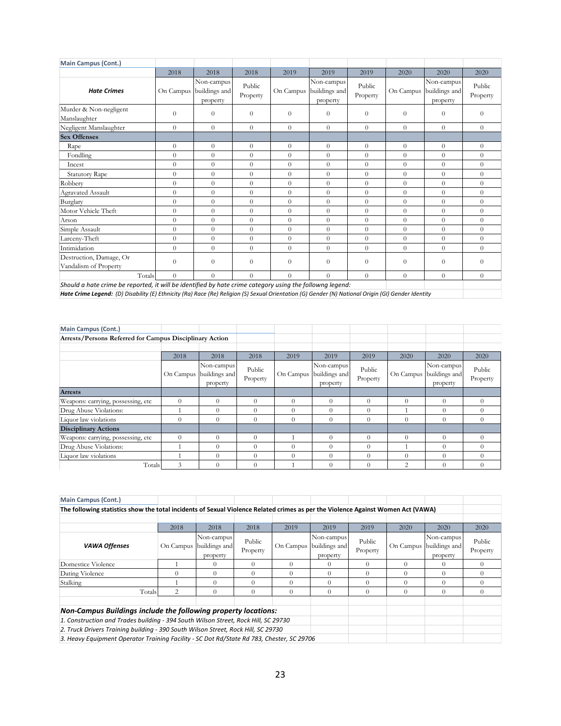| <b>Main Campus (Cont.)</b>                                                                               |                |                                         |                    |                |                                         |                    |                |                                         |                    |
|----------------------------------------------------------------------------------------------------------|----------------|-----------------------------------------|--------------------|----------------|-----------------------------------------|--------------------|----------------|-----------------------------------------|--------------------|
|                                                                                                          | 2018           | 2018                                    | 2018               | 2019           | 2019                                    | 2019               | 2020           | 2020                                    | 2020               |
| <b>Hate Crimes</b>                                                                                       | On Campus      | Non-campus<br>buildings and<br>property | Public<br>Property | On Campus      | Non-campus<br>buildings and<br>property | Public<br>Property | On Campus      | Non-campus<br>buildings and<br>property | Public<br>Property |
| Murder & Non-negligent<br>Manslaughter                                                                   | $\overline{0}$ | $\overline{0}$                          | $\theta$           | $\theta$       | $\overline{0}$                          | $\theta$           | $\overline{0}$ | $\theta$                                | $\theta$           |
| Negligent Manslaughter                                                                                   | $\overline{0}$ | $\overline{0}$                          | $\theta$           | $\overline{0}$ | $\overline{0}$                          | $\theta$           | $\theta$       | $\theta$                                | $\overline{0}$     |
| <b>Sex Offenses</b>                                                                                      |                |                                         |                    |                |                                         |                    |                |                                         |                    |
| Rape                                                                                                     | $\overline{0}$ | $\overline{0}$                          | $\theta$           | $\overline{0}$ | $\theta$                                | $\theta$           | $\theta$       | $\theta$                                | $\overline{0}$     |
| Fondling                                                                                                 | $\theta$       | $\overline{0}$                          | $\theta$           | $\overline{0}$ | $\theta$                                | $\overline{0}$     | $\Omega$       | $\overline{0}$                          | $\overline{0}$     |
| Incest                                                                                                   | $\Omega$       | $\overline{0}$                          | $\theta$           | $\overline{0}$ | $\Omega$                                | $\overline{0}$     | $\Omega$       | $\overline{0}$                          | $\theta$           |
| <b>Statutory Rape</b>                                                                                    | $\theta$       | $\overline{0}$                          | $\theta$           | $\theta$       | $\theta$                                | $\overline{0}$     | $\Omega$       | $\theta$                                | $\Omega$           |
| Robberv                                                                                                  | $\Omega$       | $\overline{0}$                          | $\Omega$           | $\overline{0}$ | $\Omega$                                | $\overline{0}$     | $\Omega$       | $\theta$                                | $\Omega$           |
| Agravated Assault                                                                                        | $\overline{0}$ | $\overline{0}$                          | $\theta$           | $\overline{0}$ | $\overline{0}$                          | $\theta$           | $\theta$       | $\overline{0}$                          | $\overline{0}$     |
| Burglary                                                                                                 | $\theta$       | $\overline{0}$                          | $\theta$           | $\theta$       | $\theta$                                | $\theta$           | $\Omega$       | $\theta$                                | $\overline{0}$     |
| Motor Vehicle Theft                                                                                      | $\overline{0}$ | $\overline{0}$                          | $\theta$           | $\overline{0}$ | $\overline{0}$                          | $\overline{0}$     | $\Omega$       | $\overline{0}$                          | $\overline{0}$     |
| Arson                                                                                                    | $\theta$       | $\overline{0}$                          | $\theta$           | $\overline{0}$ | $\theta$                                | $\overline{0}$     | $\theta$       | $\overline{0}$                          | $\theta$           |
| Simple Assault                                                                                           | $\theta$       | $\overline{0}$                          | $\theta$           | $\theta$       | $\theta$                                | $\overline{0}$     | $\theta$       | $\theta$                                | $\Omega$           |
| Larceny-Theft                                                                                            | $\theta$       | $\overline{0}$                          | $\theta$           | $\theta$       | $\theta$                                | $\overline{0}$     | $\Omega$       | $\theta$                                | $\Omega$           |
| Intimidation                                                                                             | $\Omega$       | $\overline{0}$                          | $\theta$           | $\overline{0}$ | $\Omega$                                | $\theta$           | $\Omega$       | $\theta$                                | $\overline{0}$     |
| Destruction, Damage, Or<br>Vandalism of Property                                                         | $\Omega$       | $\theta$                                | $\Omega$           | $\Omega$       | $\Omega$                                | $\theta$           | $\Omega$       | $\Omega$                                | $\Omega$           |
| Totals                                                                                                   | $\Omega$       | $\Omega$                                | $\Omega$           | $\Omega$       | $\Omega$                                | $\overline{0}$     | $\Omega$       | $\Omega$                                | $\theta$           |
| Should a hate crime be reported, it will be identified by hate crime category using the followng legend: |                |                                         |                    |                |                                         |                    |                |                                         |                    |

*Hate Crime Legend: (D) Disability (E) Ethnicity (Ra) Race (Re) Religion (S) Sexual Orientation (G) Gender (N) National Origin (GI) Gender Identity*

| <b>Main Campus (Cont.)</b>                              |          |                                                   |                    |          |                                                   |                    |                |                                                   |                    |
|---------------------------------------------------------|----------|---------------------------------------------------|--------------------|----------|---------------------------------------------------|--------------------|----------------|---------------------------------------------------|--------------------|
| Arrests/Persons Referred for Campus Disciplinary Action |          |                                                   |                    |          |                                                   |                    |                |                                                   |                    |
|                                                         |          |                                                   |                    |          |                                                   |                    |                |                                                   |                    |
|                                                         | 2018     | 2018                                              | 2018               | 2019     | 2019                                              | 2019               | 2020           | 2020                                              | 2020               |
|                                                         |          | Non-campus<br>On Campus buildings and<br>property | Public<br>Property |          | Non-campus<br>On Campus buildings and<br>property | Public<br>Property |                | Non-campus<br>On Campus buildings and<br>property | Public<br>Property |
| <b>Arrests</b>                                          |          |                                                   |                    |          |                                                   |                    |                |                                                   |                    |
| Weapons: carrying, possessing, etc                      | $\theta$ | $\Omega$                                          | $\Omega$           | $\Omega$ | $\Omega$                                          | $\theta$           | $\Omega$       | $\theta$                                          | $\theta$           |
| Drug Abuse Violations:                                  |          | $\Omega$                                          | $\Omega$           | $\Omega$ | $\theta$                                          | $\Omega$           |                | $\Omega$                                          | $\Omega$           |
| Liquor law violations                                   | $\theta$ | $\Omega$                                          | $\theta$           | $\theta$ | 0                                                 | $\theta$           | $\Omega$       | $\theta$                                          | $\Omega$           |
| <b>Disciplinary Actions</b>                             |          |                                                   |                    |          |                                                   |                    |                |                                                   |                    |
| Weapons: carrying, possessing, etc                      | $\Omega$ | $\Omega$                                          | $\Omega$           |          | $\Omega$                                          | $\theta$           | $\Omega$       | $\Omega$                                          | $\Omega$           |
| Drug Abuse Violations:                                  |          | $\Omega$                                          | $\Omega$           | $\Omega$ | $\theta$                                          | $\Omega$           |                | $\Omega$                                          | $\theta$           |
| Liquor law violations                                   |          | $\Omega$                                          | $\Omega$           | $\Omega$ | $\theta$                                          | $\Omega$           | $\Omega$       |                                                   | $\Omega$           |
| Totals                                                  | 3        | $\Omega$                                          | $\Omega$           |          | $\Omega$                                          | $\Omega$           | $\overline{c}$ |                                                   | $\Omega$           |

| Main Campus (Cont.)                                                                                                              |                |                                                   |                    |           |                                         |                    |           |                                         |                    |
|----------------------------------------------------------------------------------------------------------------------------------|----------------|---------------------------------------------------|--------------------|-----------|-----------------------------------------|--------------------|-----------|-----------------------------------------|--------------------|
| The following statistics show the total incidents of Sexual Violence Related crimes as per the Violence Against Women Act (VAWA) |                |                                                   |                    |           |                                         |                    |           |                                         |                    |
|                                                                                                                                  |                |                                                   |                    |           |                                         |                    |           |                                         |                    |
|                                                                                                                                  | 2018           | 2018                                              | 2018               | 2019      | 2019                                    | 2019               | 2020      | 2020                                    | 2020               |
| <b>VAWA Offenses</b>                                                                                                             |                | Non-campus<br>On Campus buildings and<br>property | Public<br>Property | On Campus | Non-campus<br>buildings and<br>property | Public<br>Property | On Campus | Non-campus<br>buildings and<br>property | Public<br>Property |
| Domestice Violence                                                                                                               |                |                                                   |                    | 0         | $\theta$                                | $\Omega$           |           | $\theta$                                | $\Omega$           |
| Dating Violence                                                                                                                  |                | $\Omega$                                          | $\Omega$           | $\Omega$  | $\Omega$                                | $\Omega$           | $\Omega$  | $\Omega$                                | $\Omega$           |
| Stalking                                                                                                                         |                | $\Omega$                                          | $\Omega$           | $\Omega$  | $\Omega$                                | $\Omega$           |           | $\Omega$                                | $\Omega$           |
| Totals                                                                                                                           | $\mathfrak{D}$ | $\Omega$                                          | $\Omega$           | $\Omega$  | $\Omega$                                | $\Omega$           | $\Omega$  | $\Omega$                                | $\Omega$           |
| Non-Campus Buildings include the following property locations:                                                                   |                |                                                   |                    |           |                                         |                    |           |                                         |                    |
| 1. Construction and Trades building - 394 South Wilson Street, Rock Hill, SC 29730                                               |                |                                                   |                    |           |                                         |                    |           |                                         |                    |
| 2. Truck Drivers Training building - 390 South Wilson Street, Rock Hill, SC 29730                                                |                |                                                   |                    |           |                                         |                    |           |                                         |                    |
| 3. Heavy Equipment Operator Training Facility - SC Dot Rd/State Rd 783, Chester, SC 29706                                        |                |                                                   |                    |           |                                         |                    |           |                                         |                    |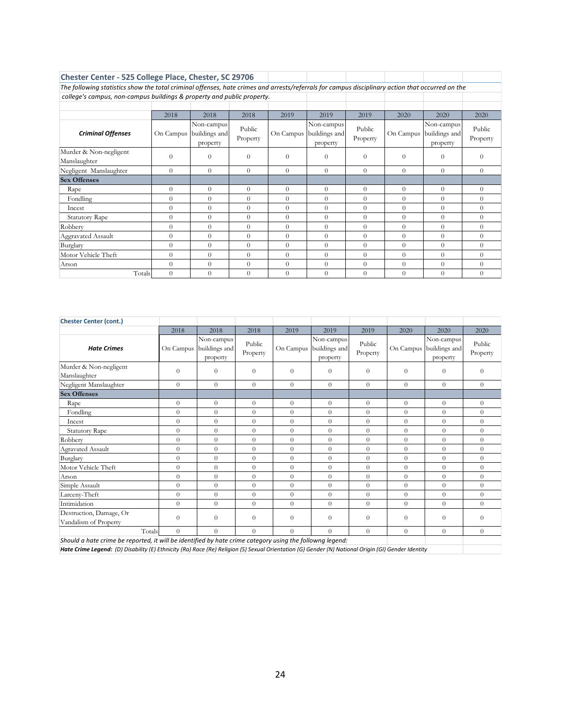| <b>Chester Center - 525 College Place, Chester, SC 29706</b>                                                                                     |                |                                         |                    |           |                                         |                    |           |                                         |                    |
|--------------------------------------------------------------------------------------------------------------------------------------------------|----------------|-----------------------------------------|--------------------|-----------|-----------------------------------------|--------------------|-----------|-----------------------------------------|--------------------|
| The following statistics show the total criminal offenses, hate crimes and arrests/referrals for campus disciplinary action that occurred on the |                |                                         |                    |           |                                         |                    |           |                                         |                    |
| college's campus, non-campus buildings & property and public property.                                                                           |                |                                         |                    |           |                                         |                    |           |                                         |                    |
|                                                                                                                                                  |                |                                         |                    |           |                                         |                    |           |                                         |                    |
|                                                                                                                                                  | 2018           | 2018                                    | 2018               | 2019      | 2019                                    | 2019               | 2020      | 2020                                    | 2020               |
| <b>Criminal Offenses</b>                                                                                                                         | On Campus      | Non-campus<br>buildings and<br>property | Public<br>Property | On Campus | Non-campus<br>buildings and<br>property | Public<br>Property | On Campus | Non-campus<br>buildings and<br>property | Public<br>Property |
| Murder & Non-negligent<br>Manslaughter                                                                                                           | $\Omega$       | $\Omega$                                | $\Omega$           | $\Omega$  | $\Omega$                                | $\Omega$           | $\Omega$  | $\Omega$                                | $\Omega$           |
| Negligent Manslaughter                                                                                                                           | $\Omega$       | $\Omega$                                | $\Omega$           | $\Omega$  | $\Omega$                                | $\Omega$           | $\Omega$  | $\Omega$                                | $\theta$           |
| <b>Sex Offenses</b>                                                                                                                              |                |                                         |                    |           |                                         |                    |           |                                         |                    |
| Rape                                                                                                                                             | $\Omega$       | $\Omega$                                | $\theta$           | $\Omega$  | $\Omega$                                | $\Omega$           | $\Omega$  | $\Omega$                                | $\Omega$           |
| Fondling                                                                                                                                         | $\Omega$       | $\Omega$                                | $\theta$           | $\Omega$  | $\Omega$                                | $\Omega$           | $\Omega$  | $\Omega$                                | $\Omega$           |
| Incest                                                                                                                                           | $\theta$       | $\Omega$                                | $\Omega$           | $\Omega$  | $\theta$                                | $\Omega$           | $\Omega$  | $\theta$                                | $\Omega$           |
| <b>Statutory Rape</b>                                                                                                                            | $\Omega$       | $\theta$                                | $\theta$           | $\Omega$  | $\theta$                                | $\Omega$           | $\Omega$  | $\theta$                                | $\Omega$           |
| Robbery                                                                                                                                          | $\Omega$       | $\Omega$                                | $\theta$           | $\Omega$  | $\Omega$                                | $\Omega$           | $\Omega$  | $\Omega$                                | $\theta$           |
| Aggravated Assault                                                                                                                               | $\overline{0}$ | $\Omega$                                | $\theta$           | $\Omega$  | $\theta$                                | $\Omega$           | $\Omega$  | $\Omega$                                | $\theta$           |
| Burglary                                                                                                                                         | $\Omega$       | $\Omega$                                | $\Omega$           | $\Omega$  | $\Omega$                                | $\Omega$           | $\Omega$  | $\Omega$                                | $\Omega$           |
| Motor Vehicle Theft                                                                                                                              | $\Omega$       | $\Omega$                                | $\Omega$           | $\Omega$  | $\Omega$                                | $\Omega$           | $\Omega$  | $\Omega$                                | $\Omega$           |
| Arson                                                                                                                                            | $\Omega$       | $\Omega$                                | $\theta$           | $\Omega$  | $\Omega$                                | $\theta$           | $\Omega$  | $\theta$                                | $\overline{0}$     |
| Totals                                                                                                                                           | $\Omega$       | $\theta$                                | $\Omega$           | $\Omega$  | $\Omega$                                | $\Omega$           | $\Omega$  | $\Omega$                                | $\overline{0}$     |

| <b>Chester Center (cont.)</b>                                                                                                                      |                |                                         |                    |                |                                         |                    |                |                                         |                    |  |
|----------------------------------------------------------------------------------------------------------------------------------------------------|----------------|-----------------------------------------|--------------------|----------------|-----------------------------------------|--------------------|----------------|-----------------------------------------|--------------------|--|
|                                                                                                                                                    | 2018           | 2018                                    | 2018               | 2019           | 2019                                    | 2019               | 2020           | 2020                                    | 2020               |  |
| <b>Hate Crimes</b>                                                                                                                                 | On Campus      | Non-campus<br>buildings and<br>property | Public<br>Property | On Campus      | Non-campus<br>buildings and<br>property | Public<br>Property | On Campus      | Non-campus<br>buildings and<br>property | Public<br>Property |  |
| Murder & Non-negligent<br>Manslaughter                                                                                                             | $\theta$       | $\theta$                                | $\Omega$           | $\Omega$       | $\Omega$                                | $\theta$           | $\Omega$       | $\theta$                                | $\Omega$           |  |
| Negligent Manslaughter                                                                                                                             | $\overline{0}$ | $\theta$                                | $\Omega$           | $\Omega$       | $\theta$                                | $\theta$           | $\Omega$       | $\overline{0}$                          | $\theta$           |  |
| <b>Sex Offenses</b>                                                                                                                                |                |                                         |                    |                |                                         |                    |                |                                         |                    |  |
| Rape                                                                                                                                               | $\theta$       | $\theta$                                | $\Omega$           | $\Omega$       | $\overline{0}$                          | $\theta$           | $\Omega$       | $\overline{0}$                          | $\Omega$           |  |
| Fondling                                                                                                                                           | $\theta$       | $\overline{0}$                          | $\overline{0}$     | $\overline{0}$ | $\Omega$                                | $\theta$           | $\overline{0}$ | $\overline{0}$                          | $\overline{0}$     |  |
| Incest                                                                                                                                             | $\overline{0}$ | $\theta$                                | $\overline{0}$     | $\Omega$       | $\overline{0}$                          | $\theta$           | $\Omega$       | $\theta$                                | $\theta$           |  |
| <b>Statutory Rape</b>                                                                                                                              | $\theta$       | $\overline{0}$                          | $\overline{0}$     | $\overline{0}$ | $\overline{0}$                          | $\theta$           | $\theta$       | $\overline{0}$                          | $\overline{0}$     |  |
| Robbery                                                                                                                                            | $\overline{0}$ | $\overline{0}$                          | $\overline{0}$     | $\theta$       | $\overline{0}$                          | $\theta$           | $\Omega$       | $\overline{0}$                          | $\overline{0}$     |  |
| Agravated Assault                                                                                                                                  | $\theta$       | $\overline{0}$                          | $\overline{0}$     | $\theta$       | $\overline{0}$                          | $\theta$           | $\Omega$       | $\overline{0}$                          | $\theta$           |  |
| Burglary                                                                                                                                           | $\overline{0}$ | $\theta$                                | $\overline{0}$     | $\theta$       | $\theta$                                | $\theta$           | $\theta$       | $\theta$                                | $\theta$           |  |
| Motor Vehicle Theft                                                                                                                                | $\overline{0}$ | $\theta$                                | $\Omega$           | $\Omega$       | $\overline{0}$                          | $\theta$           | $\Omega$       | $\overline{0}$                          | $\theta$           |  |
| Arson                                                                                                                                              | $\overline{0}$ | $\overline{0}$                          | $\overline{0}$     | $\overline{0}$ | $\overline{0}$                          | $\theta$           | $\Omega$       | $\overline{0}$                          | $\overline{0}$     |  |
| Simple Assault                                                                                                                                     | $\theta$       | $\theta$                                | $\overline{0}$     | $\Omega$       | $\overline{0}$                          | $\theta$           | $\Omega$       | $\overline{0}$                          | $\theta$           |  |
| Larceny-Theft                                                                                                                                      | $\theta$       | $\overline{0}$                          | $\overline{0}$     | $\Omega$       | $\Omega$                                | $\theta$           | $\Omega$       | $\overline{0}$                          | $\overline{0}$     |  |
| Intimidation                                                                                                                                       | $\overline{0}$ | $\theta$                                | $\theta$           | $\theta$       | $\theta$                                | $\theta$           | $\Omega$       | $\theta$                                | $\theta$           |  |
| Destruction, Damage, Or<br>Vandalism of Property                                                                                                   | $\theta$       | $\theta$                                | $\overline{0}$     | $\overline{0}$ | $\theta$                                | $\theta$           | $\overline{0}$ | $\overline{0}$                          | $\theta$           |  |
| $\theta$<br>Totals<br>$\theta$<br>$\Omega$<br>$\Omega$<br>$\Omega$<br>$\theta$<br>$\Omega$<br>$\Omega$<br>$\Omega$                                 |                |                                         |                    |                |                                         |                    |                |                                         |                    |  |
| Should a hate crime be reported, it will be identified by hate crime category using the followng legend:                                           |                |                                         |                    |                |                                         |                    |                |                                         |                    |  |
| Hate Crime Legend: (D) Disability (E) Ethnicity (Ra) Race (Re) Religion (S) Sexual Orientation (G) Gender (N) National Origin (GI) Gender Identity |                |                                         |                    |                |                                         |                    |                |                                         |                    |  |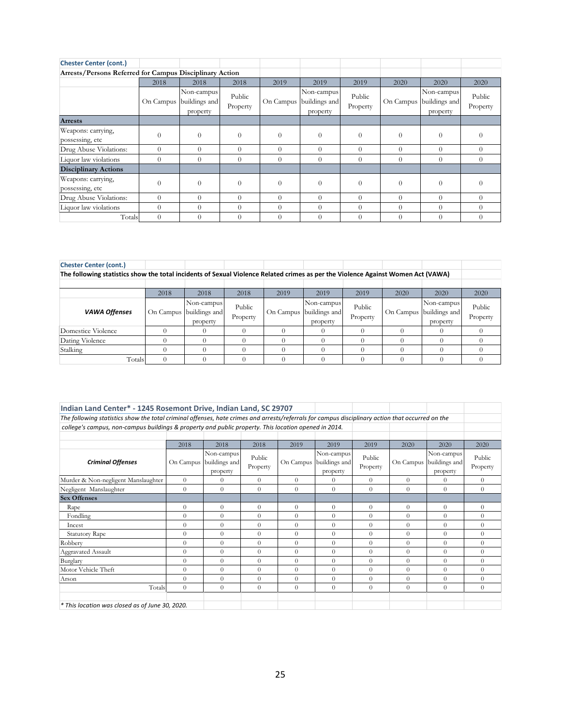| <b>Chester Center (cont.)</b>                           |           |                                         |                    |          |                                                   |                    |           |                                         |                    |
|---------------------------------------------------------|-----------|-----------------------------------------|--------------------|----------|---------------------------------------------------|--------------------|-----------|-----------------------------------------|--------------------|
| Arrests/Persons Referred for Campus Disciplinary Action |           |                                         |                    |          |                                                   |                    |           |                                         |                    |
|                                                         | 2018      | 2018                                    | 2018               | 2019     | 2019                                              | 2019               | 2020      | 2020                                    | 2020               |
|                                                         | On Campus | Non-campus<br>buildings and<br>property | Public<br>Property |          | Non-campus<br>On Campus buildings and<br>property | Public<br>Property | On Campus | Non-campus<br>buildings and<br>property | Public<br>Property |
| <b>Arrests</b>                                          |           |                                         |                    |          |                                                   |                    |           |                                         |                    |
| Weapons: carrying,<br>possessing, etc                   | $\theta$  | $\Omega$                                | $\theta$           | $\Omega$ | $\theta$                                          | $\Omega$           | $\Omega$  | $\theta$                                |                    |
| Drug Abuse Violations:                                  | $\Omega$  | $\Omega$                                | $\Omega$           | $\Omega$ | $\theta$                                          | $\Omega$           | $\Omega$  | $\theta$                                | $\Omega$           |
| Liquor law violations                                   | $\Omega$  | $\theta$                                | $\theta$           | $\theta$ | $\theta$                                          | $\Omega$           | $\theta$  | $\Omega$                                | $\theta$           |
| <b>Disciplinary Actions</b>                             |           |                                         |                    |          |                                                   |                    |           |                                         |                    |
| Weapons: carrying,<br>possessing, etc                   | 0         | $\Omega$                                | $\Omega$           | $\Omega$ | $\Omega$                                          | $\Omega$           | $\Omega$  | $\theta$                                | $\Omega$           |
| Drug Abuse Violations:                                  | $\Omega$  | $\theta$                                | $\Omega$           | $\Omega$ | $\theta$                                          | $\Omega$           | $\Omega$  | $\theta$                                | $\Omega$           |
| Liquor law violations                                   | $\Omega$  | $\Omega$                                | $\Omega$           | $\Omega$ | $\Omega$                                          | $\Omega$           | $\Omega$  | $\Omega$                                |                    |
| Totals                                                  | $\theta$  | $\theta$                                | $\theta$           | $\theta$ | $\theta$                                          | $\theta$           | $\Omega$  | $\theta$                                |                    |

| <b>Chester Center (cont.)</b>                                                                                                    |      |                                                   |                    |      |                                                   |                    |      |                                                   |                    |
|----------------------------------------------------------------------------------------------------------------------------------|------|---------------------------------------------------|--------------------|------|---------------------------------------------------|--------------------|------|---------------------------------------------------|--------------------|
| The following statistics show the total incidents of Sexual Violence Related crimes as per the Violence Against Women Act (VAWA) |      |                                                   |                    |      |                                                   |                    |      |                                                   |                    |
|                                                                                                                                  |      |                                                   |                    |      |                                                   |                    |      |                                                   |                    |
|                                                                                                                                  | 2018 | 2018                                              | 2018               | 2019 | 2019                                              | 2019               | 2020 | 2020                                              | 2020               |
| <b>VAWA Offenses</b>                                                                                                             |      | Non-campus<br>On Campus buildings and<br>property | Public<br>Property |      | Non-campus<br>On Campus buildings and<br>property | Public<br>Property |      | Non-campus<br>On Campus buildings and<br>property | Public<br>Property |
| Domestice Violence                                                                                                               |      |                                                   |                    |      |                                                   |                    |      |                                                   |                    |
| Dating Violence                                                                                                                  |      |                                                   |                    |      |                                                   |                    |      |                                                   |                    |
| Stalking                                                                                                                         |      |                                                   |                    |      |                                                   |                    |      |                                                   |                    |
| Totals                                                                                                                           |      |                                                   |                    |      |                                                   |                    |      |                                                   |                    |

| Indian Land Center* - 1245 Rosemont Drive, Indian Land, SC 29707                                                                                 |           |                                         |                    |           |                                         |                    |           |                                         |                    |  |  |  |  |
|--------------------------------------------------------------------------------------------------------------------------------------------------|-----------|-----------------------------------------|--------------------|-----------|-----------------------------------------|--------------------|-----------|-----------------------------------------|--------------------|--|--|--|--|
| The following statistics show the total criminal offenses, hate crimes and arrests/referrals for campus disciplinary action that occurred on the |           |                                         |                    |           |                                         |                    |           |                                         |                    |  |  |  |  |
| college's campus, non-campus buildings & property and public property. This location opened in 2014.                                             |           |                                         |                    |           |                                         |                    |           |                                         |                    |  |  |  |  |
|                                                                                                                                                  |           |                                         |                    |           |                                         |                    |           |                                         |                    |  |  |  |  |
|                                                                                                                                                  | 2018      | 2018                                    | 2018               | 2019      | 2019                                    | 2019               | 2020      | 2020                                    | 2020               |  |  |  |  |
| <b>Criminal Offenses</b>                                                                                                                         | On Campus | Non-campus<br>buildings and<br>property | Public<br>Property | On Campus | Non-campus<br>buildings and<br>property | Public<br>Property | On Campus | Non-campus<br>buildings and<br>property | Public<br>Property |  |  |  |  |
| $\theta$<br>Murder & Non-negligent Manslaughter<br>$\theta$<br>$\theta$<br>$\theta$<br>$\theta$<br>$\Omega$<br>$\theta$<br>$\theta$<br>$\theta$  |           |                                         |                    |           |                                         |                    |           |                                         |                    |  |  |  |  |
| $\Omega$<br>$\theta$<br>$\theta$<br>$\Omega$<br>$\theta$<br>$\Omega$<br>$\Omega$<br>$\theta$<br>$\theta$<br>Negligent Manslaughter               |           |                                         |                    |           |                                         |                    |           |                                         |                    |  |  |  |  |
| <b>Sex Offenses</b>                                                                                                                              |           |                                         |                    |           |                                         |                    |           |                                         |                    |  |  |  |  |
| Rape                                                                                                                                             | $\theta$  | $\theta$                                | $\theta$           | $\theta$  | $\overline{0}$                          | $\Omega$           | $\theta$  | $\theta$                                | $\overline{0}$     |  |  |  |  |
| Fondling                                                                                                                                         | $\Omega$  | $\theta$                                | $\Omega$           | $\theta$  | $\Omega$                                | $\Omega$           | $\theta$  | $\Omega$                                | $\theta$           |  |  |  |  |
| Incest                                                                                                                                           | $\theta$  | $\theta$                                | $\Omega$           | $\theta$  | $\Omega$                                | $\Omega$           | $\Omega$  | $\theta$                                | $\theta$           |  |  |  |  |
| <b>Statutory Rape</b>                                                                                                                            | $\Omega$  | $\theta$                                | $\overline{0}$     | $\theta$  | $\theta$                                | $\Omega$           | $\Omega$  | $\overline{0}$                          | $\overline{0}$     |  |  |  |  |
| Robbery                                                                                                                                          | $\Omega$  | $\theta$                                | $\Omega$           | $\theta$  | $\Omega$                                | $\Omega$           | $\Omega$  | $\Omega$                                | $\theta$           |  |  |  |  |
| Aggravated Assault                                                                                                                               | $\theta$  | $\theta$                                | $\theta$           | $\theta$  | $\overline{0}$                          | $\Omega$           | $\theta$  | $\theta$                                | $\overline{0}$     |  |  |  |  |
| Burglary                                                                                                                                         | $\Omega$  | $\theta$                                | $\Omega$           | $\theta$  | $\Omega$                                | $\Omega$           | $\theta$  | $\Omega$                                | $\theta$           |  |  |  |  |
| Motor Vehicle Theft                                                                                                                              | $\Omega$  | $\theta$                                | $\Omega$           | $\theta$  | $\theta$                                | $\Omega$           | $\Omega$  | $\Omega$                                | $\theta$           |  |  |  |  |
| Arson                                                                                                                                            | $\Omega$  | $\overline{0}$                          | $\overline{0}$     | $\theta$  | $\overline{0}$                          | $\Omega$           | $\theta$  | $\theta$                                | $\overline{0}$     |  |  |  |  |
| Totals                                                                                                                                           | $\Omega$  | $\theta$                                | $\Omega$           | $\theta$  | $\Omega$                                | $\Omega$           | $\theta$  | $\Omega$                                | $\theta$           |  |  |  |  |
| * This location was closed as of June 30, 2020.                                                                                                  |           |                                         |                    |           |                                         |                    |           |                                         |                    |  |  |  |  |